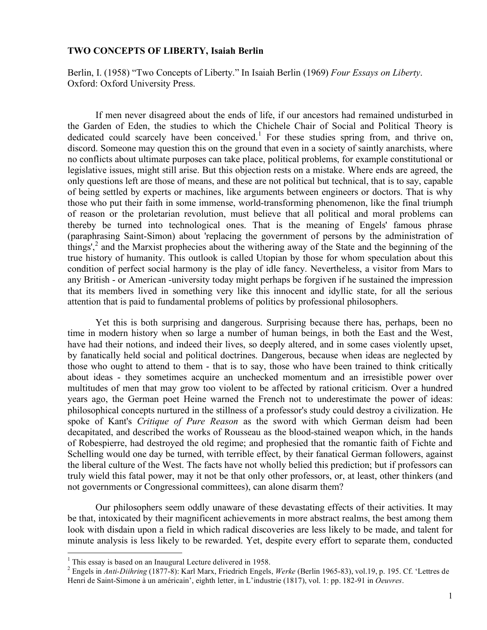### **TWO CONCEPTS OF LIBERTY, Isaiah Berlin**

Berlin, I. (1958) "Two Concepts of Liberty." In Isaiah Berlin (1969) *Four Essays on Liberty*. Oxford: Oxford University Press.

If men never disagreed about the ends of life, if our ancestors had remained undisturbed in the Garden of Eden, the studies to which the Chichele Chair of Social and Political Theory is dedicated could scarcely have been conceived.<sup>1</sup> For these studies spring from, and thrive on, discord. Someone may question this on the ground that even in a society of saintly anarchists, where no conflicts about ultimate purposes can take place, political problems, for example constitutional or legislative issues, might still arise. But this objection rests on a mistake. Where ends are agreed, the only questions left are those of means, and these are not political but technical, that is to say, capable of being settled by experts or machines, like arguments between engineers or doctors. That is why those who put their faith in some immense, world-transforming phenomenon, like the final triumph of reason or the proletarian revolution, must believe that all political and moral problems can thereby be turned into technological ones. That is the meaning of Engels' famous phrase (paraphrasing Saint-Simon) about 'replacing the government of persons by the administration of things',<sup>2</sup> and the Marxist prophecies about the withering away of the State and the beginning of the true history of humanity. This outlook is called Utopian by those for whom speculation about this condition of perfect social harmony is the play of idle fancy. Nevertheless, a visitor from Mars to any British - or American -university today might perhaps be forgiven if he sustained the impression that its members lived in something very like this innocent and idyllic state, for all the serious attention that is paid to fundamental problems of politics by professional philosophers.

Yet this is both surprising and dangerous. Surprising because there has, perhaps, been no time in modern history when so large a number of human beings, in both the East and the West, have had their notions, and indeed their lives, so deeply altered, and in some cases violently upset, by fanatically held social and political doctrines. Dangerous, because when ideas are neglected by those who ought to attend to them - that is to say, those who have been trained to think critically about ideas - they sometimes acquire an unchecked momentum and an irresistible power over multitudes of men that may grow too violent to be affected by rational criticism. Over a hundred years ago, the German poet Heine warned the French not to underestimate the power of ideas: philosophical concepts nurtured in the stillness of a professor's study could destroy a civilization. He spoke of Kant's *Critique of Pure Reason* as the sword with which German deism had been decapitated, and described the works of Rousseau as the blood-stained weapon which, in the hands of Robespierre, had destroyed the old regime; and prophesied that the romantic faith of Fichte and Schelling would one day be turned, with terrible effect, by their fanatical German followers, against the liberal culture of the West. The facts have not wholly belied this prediction; but if professors can truly wield this fatal power, may it not be that only other professors, or, at least, other thinkers (and not governments or Congressional committees), can alone disarm them?

Our philosophers seem oddly unaware of these devastating effects of their activities. It may be that, intoxicated by their magnificent achievements in more abstract realms, the best among them look with disdain upon a field in which radical discoveries are less likely to be made, and talent for minute analysis is less likely to be rewarded. Yet, despite every effort to separate them, conducted

<sup>1</sup> This essay is based on an Inaugural Lecture delivered in 1958. <sup>2</sup> Engels in *Anti-Diihring* (1877-8): Karl Marx, Friedrich Engels, *Werke* (Berlin 1965-83), vol.19, p. 195. Cf. 'Lettres de Henri de Saint-Simone à un américain', eighth letter, in L'industrie (1817), vol. 1: pp. 182-91 in *Oeuvres*.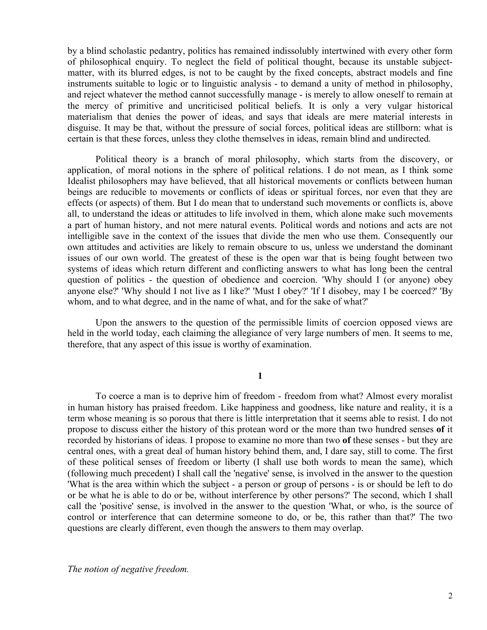by a blind scholastic pedantry, politics has remained indissolubly intertwined with every other form of philosophical enquiry. To neglect the field of political thought, because its unstable subjectmatter, with its blurred edges, is not to be caught by the fixed concepts, abstract models and fine instruments suitable to logic or to linguistic analysis - to demand a unity of method in philosophy, and reject whatever the method cannot successfully manage - is merely to allow oneself to remain at the mercy of primitive and uncriticised political beliefs. It is only a very vulgar historical materialism that denies the power of ideas, and says that ideals are mere material interests in disguise. It may be that, without the pressure of social forces, political ideas are stillborn: what is certain is that these forces, unless they clothe themselves in ideas, remain blind and undirected.

Political theory is a branch of moral philosophy, which starts from the discovery, or application, of moral notions in the sphere of political relations. I do not mean, as I think some Idealist philosophers may have believed, that all historical movements or conflicts between human beings are reducible to movements or conflicts of ideas or spiritual forces, nor even that they are effects (or aspects) of them. But I do mean that to understand such movements or conflicts is, above all, to understand the ideas or attitudes to life involved in them, which alone make such movements a part of human history, and not mere natural events. Political words and notions and acts are not intelligible save in the context of the issues that divide the men who use them. Consequently our own attitudes and activities are likely to remain obscure to us, unless we understand the dominant issues of our own world. The greatest of these is the open war that is being fought between two systems of ideas which return different and conflicting answers to what has long been the central question of politics - the question of obedience and coercion. 'Why should I (or anyone) obey anyone else?' 'Why should I not live as I like?' 'Must I obey?' 'If I disobey, may I be coerced?' 'By whom, and to what degree, and in the name of what, and for the sake of what?'

Upon the answers to the question of the permissible limits of coercion opposed views are held in the world today, each claiming the allegiance of very large numbers of men. It seems to me, therefore, that any aspect of this issue is worthy of examination.

### **1**

To coerce a man is to deprive him of freedom - freedom from what? Almost every moralist in human history has praised freedom. Like happiness and goodness, like nature and reality, it is a term whose meaning is so porous that there is little interpretation that it seems able to resist. I do not propose to discuss either the history of this protean word or the more than two hundred senses **of** it recorded by historians of ideas. I propose to examine no more than two **of** these senses - but they are central ones, with a great deal of human history behind them, and, I dare say, still to come. The first of these political senses of freedom or liberty (I shall use both words to mean the same), which (following much precedent) I shall call the 'negative' sense, is involved in the answer to the question 'What is the area within which the subject - a person or group of persons - is or should be left to do or be what he is able to do or be, without interference by other persons?' The second, which I shall call the 'positive' sense, is involved in the answer to the question 'What, or who, is the source of control or interference that can determine someone to do, or be, this rather than that?' The two questions are clearly different, even though the answers to them may overlap.

*The notion of negative freedom.*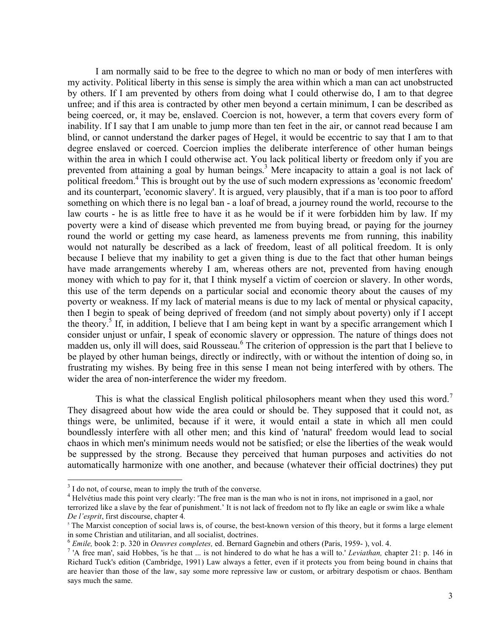I am normally said to be free to the degree to which no man or body of men interferes with my activity. Political liberty in this sense is simply the area within which a man can act unobstructed by others. If I am prevented by others from doing what I could otherwise do, I am to that degree unfree; and if this area is contracted by other men beyond a certain minimum, I can be described as being coerced, or, it may be, enslaved. Coercion is not, however, a term that covers every form of inability. If I say that I am unable to jump more than ten feet in the air, or cannot read because I am blind, or cannot understand the darker pages of Hegel, it would be eccentric to say that I am to that degree enslaved or coerced. Coercion implies the deliberate interference of other human beings within the area in which I could otherwise act. You lack political liberty or freedom only if you are prevented from attaining a goal by human beings.<sup>3</sup> Mere incapacity to attain a goal is not lack of political freedom.<sup>4</sup> This is brought out by the use of such modern expressions as 'economic freedom' and its counterpart, 'economic slavery'. It is argued, very plausibly, that if a man is too poor to afford something on which there is no legal ban - a loaf of bread, a journey round the world, recourse to the law courts - he is as little free to have it as he would be if it were forbidden him by law. If my poverty were a kind of disease which prevented me from buying bread, or paying for the journey round the world or getting my case heard, as lameness prevents me from running, this inability would not naturally be described as a lack of freedom, least of all political freedom. It is only because I believe that my inability to get a given thing is due to the fact that other human beings have made arrangements whereby I am, whereas others are not, prevented from having enough money with which to pay for it, that I think myself a victim of coercion or slavery. In other words, this use of the term depends on a particular social and economic theory about the causes of my poverty or weakness. If my lack of material means is due to my lack of mental or physical capacity, then I begin to speak of being deprived of freedom (and not simply about poverty) only if I accept the theory. <sup>5</sup> If, in addition, I believe that I am being kept in want by a specific arrangement which I consider unjust or unfair, I speak of economic slavery or oppression. The nature of things does not madden us, only ill will does, said Rousseau.<sup>6</sup> The criterion of oppression is the part that I believe to be played by other human beings, directly or indirectly, with or without the intention of doing so, in frustrating my wishes. By being free in this sense I mean not being interfered with by others. The wider the area of non-interference the wider my freedom.

This is what the classical English political philosophers meant when they used this word.<sup>7</sup> They disagreed about how wide the area could or should be. They supposed that it could not, as things were, be unlimited, because if it were, it would entail a state in which all men could boundlessly interfere with all other men; and this kind of 'natural' freedom would lead to social chaos in which men's minimum needs would not be satisfied; or else the liberties of the weak would be suppressed by the strong. Because they perceived that human purposes and activities do not automatically harmonize with one another, and because (whatever their official doctrines) they put

 $3$  I do not, of course, mean to imply the truth of the converse.<br> $4$  Helvétius made this point very clearly: 'The free man is the man who is not in irons, not imprisoned in a gaol, nor terrorized like a slave by the fear of punishment.' It is not lack of freedom not to fly like an eagle or swim like a whale *De l'esprit*, first discourse, chapter 4*.*

<sup>&</sup>lt;sup>5</sup> The Marxist conception of social laws is, of course, the best-known version of this theory, but it forms a large element in some Christian and utilitarian, and all socialist, doctrines.<br>
<sup>6</sup> *Emile*, book 2: p. 320 in *Oeuvres completes*, ed. Bernard Gagnebin and others (Paris, 1959-), vol. 4.<br>
<sup>7</sup> 'A free man', said Hobbes, 'is he that ...

Richard Tuck's edition (Cambridge, 1991) Law always a fetter, even if it protects you from being bound in chains that are heavier than those of the law, say some more repressive law or custom, or arbitrary despotism or chaos. Bentham says much the same.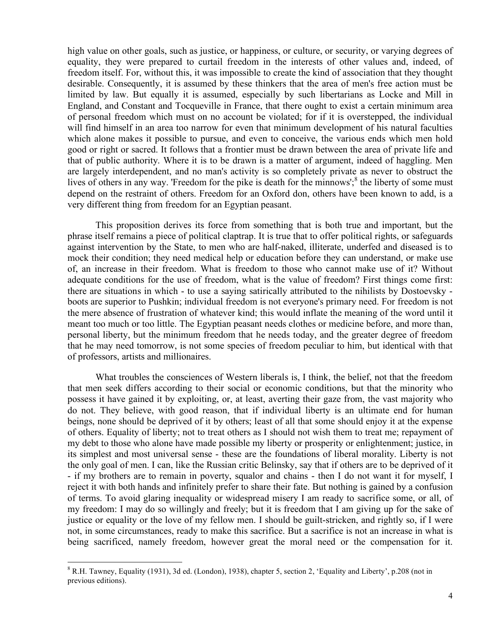high value on other goals, such as justice, or happiness, or culture, or security, or varying degrees of equality, they were prepared to curtail freedom in the interests of other values and, indeed, of freedom itself. For, without this, it was impossible to create the kind of association that they thought desirable. Consequently, it is assumed by these thinkers that the area of men's free action must be limited by law. But equally it is assumed, especially by such libertarians as Locke and Mill in England, and Constant and Tocqueville in France, that there ought to exist a certain minimum area of personal freedom which must on no account be violated; for if it is overstepped, the individual will find himself in an area too narrow for even that minimum development of his natural faculties which alone makes it possible to pursue, and even to conceive, the various ends which men hold good or right or sacred. It follows that a frontier must be drawn between the area of private life and that of public authority. Where it is to be drawn is a matter of argument, indeed of haggling. Men are largely interdependent, and no man's activity is so completely private as never to obstruct the lives of others in any way. 'Freedom for the pike is death for the minnows';<sup>8</sup> the liberty of some must depend on the restraint of others. Freedom for an Oxford don, others have been known to add, is a very different thing from freedom for an Egyptian peasant.

This proposition derives its force from something that is both true and important, but the phrase itself remains a piece of political claptrap. It is true that to offer political rights, or safeguards against intervention by the State, to men who are half-naked, illiterate, underfed and diseased is to mock their condition; they need medical help or education before they can understand, or make use of, an increase in their freedom. What is freedom to those who cannot make use of it? Without adequate conditions for the use of freedom, what is the value of freedom? First things come first: there are situations in which - to use a saying satirically attributed to the nihilists by Dostoevsky boots are superior to Pushkin; individual freedom is not everyone's primary need. For freedom is not the mere absence of frustration of whatever kind; this would inflate the meaning of the word until it meant too much or too little. The Egyptian peasant needs clothes or medicine before, and more than, personal liberty, but the minimum freedom that he needs today, and the greater degree of freedom that he may need tomorrow, is not some species of freedom peculiar to him, but identical with that of professors, artists and millionaires.

What troubles the consciences of Western liberals is, I think, the belief, not that the freedom that men seek differs according to their social or economic conditions, but that the minority who possess it have gained it by exploiting, or, at least, averting their gaze from, the vast majority who do not. They believe, with good reason, that if individual liberty is an ultimate end for human beings, none should be deprived of it by others; least of all that some should enjoy it at the expense of others. Equality of liberty; not to treat others as I should not wish them to treat me; repayment of my debt to those who alone have made possible my liberty or prosperity or enlightenment; justice, in its simplest and most universal sense - these are the foundations of liberal morality. Liberty is not the only goal of men. I can, like the Russian critic Belinsky, say that if others are to be deprived of it - if my brothers are to remain in poverty, squalor and chains - then I do not want it for myself, I reject it with both hands and infinitely prefer to share their fate. But nothing is gained by a confusion of terms. To avoid glaring inequality or widespread misery I am ready to sacrifice some, or all, of my freedom: I may do so willingly and freely; but it is freedom that I am giving up for the sake of justice or equality or the love of my fellow men. I should be guilt-stricken, and rightly so, if I were not, in some circumstances, ready to make this sacrifice. But a sacrifice is not an increase in what is being sacrificed, namely freedom, however great the moral need or the compensation for it.

 $8$  R.H. Tawney, Equality (1931), 3d ed. (London), 1938), chapter 5, section 2, 'Equality and Liberty', p.208 (not in previous editions).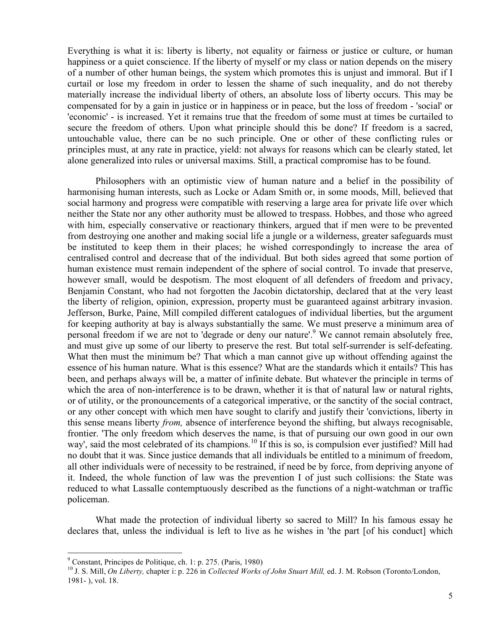Everything is what it is: liberty is liberty, not equality or fairness or justice or culture, or human happiness or a quiet conscience. If the liberty of myself or my class or nation depends on the misery of a number of other human beings, the system which promotes this is unjust and immoral. But if I curtail or lose my freedom in order to lessen the shame of such inequality, and do not thereby materially increase the individual liberty of others, an absolute loss of liberty occurs. This may be compensated for by a gain in justice or in happiness or in peace, but the loss of freedom - 'social' or 'economic' - is increased. Yet it remains true that the freedom of some must at times be curtailed to secure the freedom of others. Upon what principle should this be done? If freedom is a sacred, untouchable value, there can be no such principle. One or other of these conflicting rules or principles must, at any rate in practice, yield: not always for reasons which can be clearly stated, let alone generalized into rules or universal maxims. Still, a practical compromise has to be found.

Philosophers with an optimistic view of human nature and a belief in the possibility of harmonising human interests, such as Locke or Adam Smith or, in some moods, Mill, believed that social harmony and progress were compatible with reserving a large area for private life over which neither the State nor any other authority must be allowed to trespass. Hobbes, and those who agreed with him, especially conservative or reactionary thinkers, argued that if men were to be prevented from destroying one another and making social life a jungle or a wilderness, greater safeguards must be instituted to keep them in their places; he wished correspondingly to increase the area of centralised control and decrease that of the individual. But both sides agreed that some portion of human existence must remain independent of the sphere of social control. To invade that preserve, however small, would be despotism. The most eloquent of all defenders of freedom and privacy, Benjamin Constant, who had not forgotten the Jacobin dictatorship, declared that at the very least the liberty of religion, opinion, expression, property must be guaranteed against arbitrary invasion. Jefferson, Burke, Paine, Mill compiled different catalogues of individual liberties, but the argument for keeping authority at bay is always substantially the same. We must preserve a minimum area of personal freedom if we are not to 'degrade or deny our nature'.<sup>9</sup> We cannot remain absolutely free, and must give up some of our liberty to preserve the rest. But total self-surrender is self-defeating. What then must the minimum be? That which a man cannot give up without offending against the essence of his human nature. What is this essence? What are the standards which it entails? This has been, and perhaps always will be, a matter of infinite debate. But whatever the principle in terms of which the area of non-interference is to be drawn, whether it is that of natural law or natural rights, or of utility, or the pronouncements of a categorical imperative, or the sanctity of the social contract, or any other concept with which men have sought to clarify and justify their 'convictions, liberty in this sense means liberty *from,* absence of interference beyond the shifting, but always recognisable, frontier. 'The only freedom which deserves the name, is that of pursuing our own good in our own way', said the most celebrated of its champions.<sup>10</sup> If this is so, is compulsion ever justified? Mill had no doubt that it was. Since justice demands that all individuals be entitled to a minimum of freedom, all other individuals were of necessity to be restrained, if need be by force, from depriving anyone of it. Indeed, the whole function of law was the prevention I of just such collisions: the State was reduced to what Lassalle contemptuously described as the functions of a night-watchman or traffic policeman.

What made the protection of individual liberty so sacred to Mill? In his famous essay he declares that, unless the individual is left to live as he wishes in 'the part [of his conduct] which

<sup>&</sup>lt;sup>9</sup> Constant, Principes de Politique, ch. 1: p. 275. (Paris, 1980)<br><sup>10</sup> J. S. Mill, *On Liberty*, chapter i: p. 226 in *Collected Works of John Stuart Mill*, ed. J. M. Robson (Toronto/London, 1981- ), vol. 18.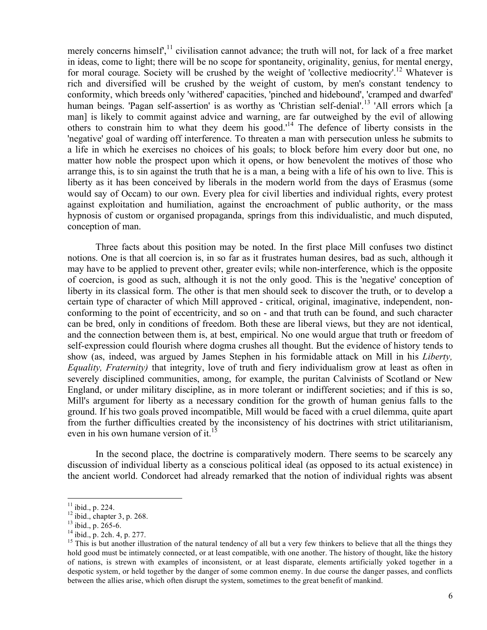merely concerns himself,<sup>11</sup> civilisation cannot advance; the truth will not, for lack of a free market in ideas, come to light; there will be no scope for spontaneity, originality, genius, for mental energy, for moral courage. Society will be crushed by the weight of 'collective mediocrity'.12 Whatever is rich and diversified will be crushed by the weight of custom, by men's constant tendency to conformity, which breeds only 'withered' capacities, 'pinched and hidebound', 'cramped and dwarfed' human beings. 'Pagan self-assertion' is as worthy as 'Christian self-denial'.<sup>13</sup> 'All errors which [a man] is likely to commit against advice and warning, are far outweighed by the evil of allowing others to constrain him to what they deem his good.' <sup>14</sup> The defence of liberty consists in the 'negative' goal of warding off interference. To threaten a man with persecution unless he submits to a life in which he exercises no choices of his goals; to block before him every door but one, no matter how noble the prospect upon which it opens, or how benevolent the motives of those who arrange this, is to sin against the truth that he is a man, a being with a life of his own to live. This is liberty as it has been conceived by liberals in the modern world from the days of Erasmus (some would say of Occam) to our own. Every plea for civil liberties and individual rights, every protest against exploitation and humiliation, against the encroachment of public authority, or the mass hypnosis of custom or organised propaganda, springs from this individualistic, and much disputed, conception of man.

Three facts about this position may be noted. In the first place Mill confuses two distinct notions. One is that all coercion is, in so far as it frustrates human desires, bad as such, although it may have to be applied to prevent other, greater evils; while non-interference, which is the opposite of coercion, is good as such, although it is not the only good. This is the 'negative' conception of liberty in its classical form. The other is that men should seek to discover the truth, or to develop a certain type of character of which Mill approved - critical, original, imaginative, independent, nonconforming to the point of eccentricity, and so on - and that truth can be found, and such character can be bred, only in conditions of freedom. Both these are liberal views, but they are not identical, and the connection between them is, at best, empirical. No one would argue that truth or freedom of self-expression could flourish where dogma crushes all thought. But the evidence of history tends to show (as, indeed, was argued by James Stephen in his formidable attack on Mill in his *Liberty, Equality, Fraternity)* that integrity, love of truth and fiery individualism grow at least as often in severely disciplined communities, among, for example, the puritan Calvinists of Scotland or New England, or under military discipline, as in more tolerant or indifferent societies; and if this is so, Mill's argument for liberty as a necessary condition for the growth of human genius falls to the ground. If his two goals proved incompatible, Mill would be faced with a cruel dilemma, quite apart from the further difficulties created by the inconsistency of his doctrines with strict utilitarianism, even in his own humane version of it.<sup>15</sup>

In the second place, the doctrine is comparatively modern. There seems to be scarcely any discussion of individual liberty as a conscious political ideal (as opposed to its actual existence) in the ancient world. Condorcet had already remarked that the notion of individual rights was absent

<sup>&</sup>lt;sup>11</sup> ibid., p. 224.<br><sup>12</sup> ibid., chapter 3, p. 268.<br><sup>13</sup> ibid., p. 265-6.<br><sup>14</sup> ibid., p. 2ch. 4, p. 277.<br><sup>14</sup> ibid., p. 2ch. 4, p. 277. hold good must be intimately connected, or at least compatible, with one another. The history of thought, like the history of nations, is strewn with examples of inconsistent, or at least disparate, elements artificially yoked together in a despotic system, or held together by the danger of some common enemy. In due course the danger passes, and conflicts between the allies arise, which often disrupt the system, sometimes to the great benefit of mankind.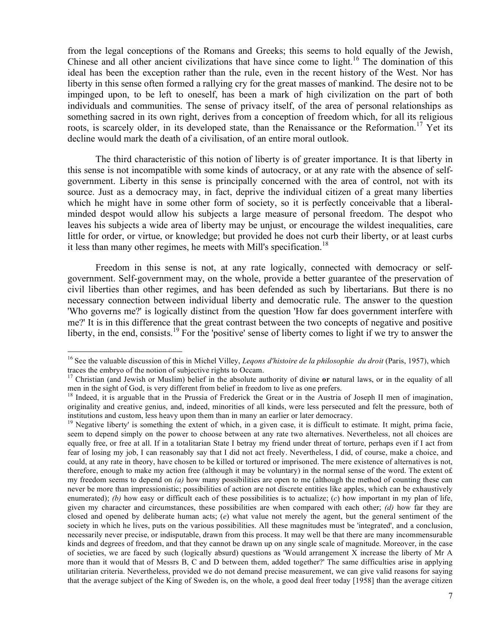from the legal conceptions of the Romans and Greeks; this seems to hold equally of the Jewish, Chinese and all other ancient civilizations that have since come to light. <sup>16</sup> The domination of this ideal has been the exception rather than the rule, even in the recent history of the West. Nor has liberty in this sense often formed a rallying cry for the great masses of mankind. The desire not to be impinged upon, to be left to oneself, has been a mark of high civilization on the part of both individuals and communities. The sense of privacy itself, of the area of personal relationships as something sacred in its own right, derives from a conception of freedom which, for all its religious roots, is scarcely older, in its developed state, than the Renaissance or the Reformation.<sup>17</sup> Yet its decline would mark the death of a civilisation, of an entire moral outlook.

The third characteristic of this notion of liberty is of greater importance. It is that liberty in this sense is not incompatible with some kinds of autocracy, or at any rate with the absence of selfgovernment. Liberty in this sense is principally concerned with the area of control, not with its source. Just as a democracy may, in fact, deprive the individual citizen of a great many liberties which he might have in some other form of society, so it is perfectly conceivable that a liberalminded despot would allow his subjects a large measure of personal freedom. The despot who leaves his subjects a wide area of liberty may be unjust, or encourage the wildest inequalities, care little for order, or virtue, or knowledge; but provided he does not curb their liberty, or at least curbs it less than many other regimes, he meets with Mill's specification. 18

Freedom in this sense is not, at any rate logically, connected with democracy or selfgovernment. Self-government may, on the whole, provide a better guarantee of the preservation of civil liberties than other regimes, and has been defended as such by libertarians. But there is no necessary connection between individual liberty and democratic rule. The answer to the question 'Who governs me?' is logically distinct from the question 'How far does government interfere with me?' It is in this difference that the great contrast between the two concepts of negative and positive liberty, in the end, consists.<sup>19</sup> For the 'positive' sense of liberty comes to light if we try to answer the

 <sup>16</sup> See the valuable discussion of this in Michel Villey, *Leqons d'histoire de la philosophie du droit* (Paris, 1957), which traces the embryo of the notion of subjective rights to Occam. <sup>17</sup> Christian (and Jewish or Muslim) belief in the absolute authority of divine **or** natural laws, or in the equality of all

men in the sight of God, is very different from belief in freedom to live as one prefers.<br><sup>18</sup> Indeed, it is arguable that in the Prussia of Frederick the Great or in the Austria of Joseph II men of imagination,

originality and creative genius, and, indeed, minorities of all kinds, were less persecuted and felt the pressure, both of institutions and custom, less heavy upon them than in many an earlier or later democracy.

<sup>&</sup>lt;sup>19</sup> Negative liberty' is something the extent of which, in a given case, it is difficult to estimate. It might, prima facie, seem to depend simply on the power to choose between at any rate two alternatives. Nevertheless, not all choices are equally free, or free at all. If in a totalitarian State I betray my friend under threat of torture, perhaps even if I act from fear of losing my job, I can reasonably say that I did not act freely. Nevertheless, I did, of course, make a choice, and could, at any rate in theory, have chosen to be killed or tortured or imprisoned. The mere existence of alternatives is not, therefore, enough to make my action free (although it may be voluntary) in the normal sense of the word. The extent o£ my freedom seems to depend on *(a)* how many possibilities are open to me (although the method of counting these can never be more than impressionistic; possibilities of action are not discrete entities like apples, which can be exhaustively enumerated); *(b)* how easy or difficult each of these possibilities is to actualize; *(c)* how important in my plan of life, given my character and circumstances, these possibilities are when compared with each other; *(d)* how far they are closed and opened by deliberate human acts; (*e*) what value not merely the agent, but the general sentiment of the society in which he lives, puts on the various possibilities. All these magnitudes must be 'integrated', and a conclusion, necessarily never precise, or indisputable, drawn from this process. It may well be that there are many incommensurable kinds and degrees of freedom, and that they cannot be drawn up on any single scale of magnitude. Moreover, in the case of societies, we are faced by such (logically absurd) questions as 'Would arrangement X increase the liberty of Mr A more than it would that of Messrs B, C and D between them, added together?' The same difficulties arise in applying utilitarian criteria. Nevertheless, provided we do not demand precise measurement, we can give valid reasons for saying that the average subject of the King of Sweden is, on the whole, a good deal freer today [1958] than the average citizen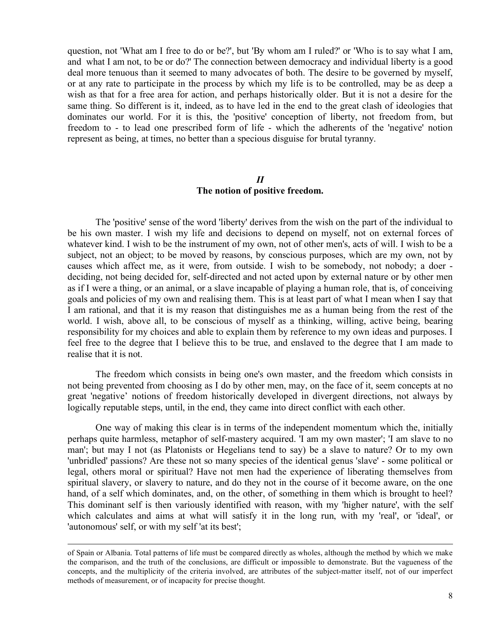question, not 'What am I free to do or be?', but 'By whom am I ruled?' or 'Who is to say what I am, and what I am not, to be or do?' The connection between democracy and individual liberty is a good deal more tenuous than it seemed to many advocates of both. The desire to be governed by myself, or at any rate to participate in the process by which my life is to be controlled, may be as deep a wish as that for a free area for action, and perhaps historically older. But it is not a desire for the same thing. So different is it, indeed, as to have led in the end to the great clash of ideologies that dominates our world. For it is this, the 'positive' conception of liberty, not freedom from, but freedom to - to lead one prescribed form of life - which the adherents of the 'negative' notion represent as being, at times, no better than a specious disguise for brutal tyranny.

### *II* **The notion of positive freedom.**

The 'positive' sense of the word 'liberty' derives from the wish on the part of the individual to be his own master. I wish my life and decisions to depend on myself, not on external forces of whatever kind. I wish to be the instrument of my own, not of other men's, acts of will. I wish to be a subject, not an object; to be moved by reasons, by conscious purposes, which are my own, not by causes which affect me, as it were, from outside. I wish to be somebody, not nobody; a doer deciding, not being decided for, self-directed and not acted upon by external nature or by other men as if I were a thing, or an animal, or a slave incapable of playing a human role, that is, of conceiving goals and policies of my own and realising them. This is at least part of what I mean when I say that I am rational, and that it is my reason that distinguishes me as a human being from the rest of the world. I wish, above all, to be conscious of myself as a thinking, willing, active being, bearing responsibility for my choices and able to explain them by reference to my own ideas and purposes. I feel free to the degree that I believe this to be true, and enslaved to the degree that I am made to realise that it is not.

The freedom which consists in being one's own master, and the freedom which consists in not being prevented from choosing as I do by other men, may, on the face of it, seem concepts at no great 'negative' notions of freedom historically developed in divergent directions, not always by logically reputable steps, until, in the end, they came into direct conflict with each other.

One way of making this clear is in terms of the independent momentum which the, initially perhaps quite harmless, metaphor of self-mastery acquired. 'I am my own master'; 'I am slave to no man'; but may I not (as Platonists or Hegelians tend to say) be a slave to nature? Or to my own 'unbridled' passions? Are these not so many species of the identical genus 'slave' - some political or legal, others moral or spiritual? Have not men had the experience of liberating themselves from spiritual slavery, or slavery to nature, and do they not in the course of it become aware, on the one hand, of a self which dominates, and, on the other, of something in them which is brought to heel? This dominant self is then variously identified with reason, with my 'higher nature', with the self which calculates and aims at what will satisfy it in the long run, with my 'real', or 'ideal', or 'autonomous' self, or with my self 'at its best';

of Spain or Albania. Total patterns of life must be compared directly as wholes, although the method by which we make the comparison, and the truth of the conclusions, are difficult or impossible to demonstrate. But the vagueness of the concepts, and the multiplicity of the criteria involved, are attributes of the subject-matter itself, not of our imperfect methods of measurement, or of incapacity for precise thought.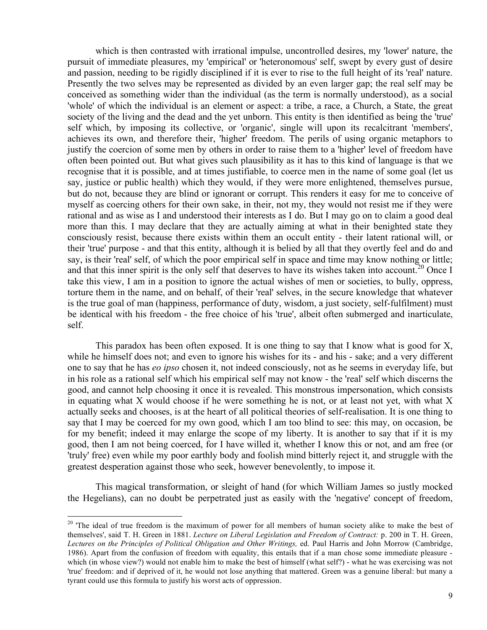which is then contrasted with irrational impulse, uncontrolled desires, my 'lower' nature, the pursuit of immediate pleasures, my 'empirical' or 'heteronomous' self, swept by every gust of desire and passion, needing to be rigidly disciplined if it is ever to rise to the full height of its 'real' nature. Presently the two selves may be represented as divided by an even larger gap; the real self may be conceived as something wider than the individual (as the term is normally understood), as a social 'whole' of which the individual is an element or aspect: a tribe, a race, a Church, a State, the great society of the living and the dead and the yet unborn. This entity is then identified as being the 'true' self which, by imposing its collective, or 'organic', single will upon its recalcitrant 'members', achieves its own, and therefore their, 'higher' freedom. The perils of using organic metaphors to justify the coercion of some men by others in order to raise them to a 'higher' level of freedom have often been pointed out. But what gives such plausibility as it has to this kind of language is that we recognise that it is possible, and at times justifiable, to coerce men in the name of some goal (let us say, justice or public health) which they would, if they were more enlightened, themselves pursue, but do not, because they are blind or ignorant or corrupt. This renders it easy for me to conceive of myself as coercing others for their own sake, in their, not my, they would not resist me if they were rational and as wise as I and understood their interests as I do. But I may go on to claim a good deal more than this. I may declare that they are actually aiming at what in their benighted state they consciously resist, because there exists within them an occult entity - their latent rational will, or their 'true' purpose - and that this entity, although it is belied by all that they overtly feel and do and say, is their 'real' self, of which the poor empirical self in space and time may know nothing or little; and that this inner spirit is the only self that deserves to have its wishes taken into account.<sup>20</sup> Once I take this view, I am in a position to ignore the actual wishes of men or societies, to bully, oppress, torture them in the name, and on behalf, of their 'real' selves, in the secure knowledge that whatever is the true goal of man (happiness, performance of duty, wisdom, a just society, self-fulfilment) must be identical with his freedom - the free choice of his 'true', albeit often submerged and inarticulate, self.

This paradox has been often exposed. It is one thing to say that I know what is good for X, while he himself does not; and even to ignore his wishes for its - and his - sake; and a very different one to say that he has *eo ipso* chosen it, not indeed consciously, not as he seems in everyday life, but in his role as a rational self which his empirical self may not know - the 'real' self which discerns the good, and cannot help choosing it once it is revealed. This monstrous impersonation, which consists in equating what X would choose if he were something he is not, or at least not yet, with what X actually seeks and chooses, is at the heart of all political theories of self-realisation. It is one thing to say that I may be coerced for my own good, which I am too blind to see: this may, on occasion, be for my benefit; indeed it may enlarge the scope of my liberty. It is another to say that if it is my good, then I am not being coerced, for I have willed it, whether I know this or not, and am free (or 'truly' free) even while my poor earthly body and foolish mind bitterly reject it, and struggle with the greatest desperation against those who seek, however benevolently, to impose it.

This magical transformation, or sleight of hand (for which William James so justly mocked the Hegelians), can no doubt be perpetrated just as easily with the 'negative' concept of freedom,

<sup>&</sup>lt;sup>20</sup> 'The ideal of true freedom is the maximum of power for all members of human society alike to make the best of themselves', said T. H. Green in 1881. *Lecture on Liberal Legislation and Freedom of Contract:* p. 200 in T. H. Green, *Lectures on the Principles of Political Obligation and Other Writings,* ed. Paul Harris and John Morrow (Cambridge, 1986). Apart from the confusion of freedom with equality, this entails that if a man chose some immediate pleasure which (in whose view?) would not enable him to make the best of himself (what self?) - what he was exercising was not 'true' freedom: and if deprived of it, he would not lose anything that mattered. Green was a genuine liberal: but many a tyrant could use this formula to justify his worst acts of oppression.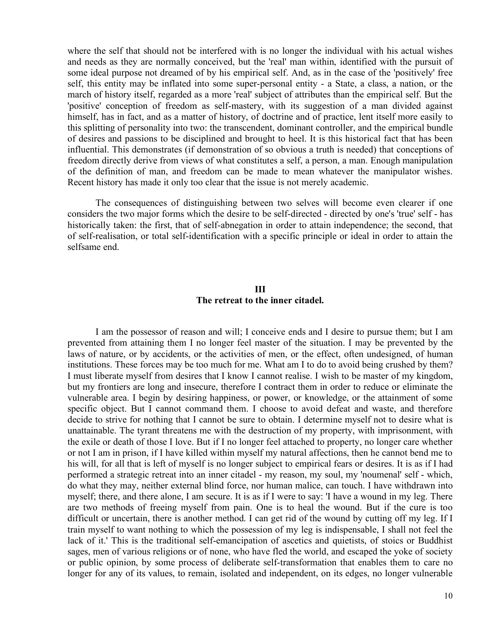where the self that should not be interfered with is no longer the individual with his actual wishes and needs as they are normally conceived, but the 'real' man within, identified with the pursuit of some ideal purpose not dreamed of by his empirical self. And, as in the case of the 'positively' free self, this entity may be inflated into some super-personal entity - a State, a class, a nation, or the march of history itself, regarded as a more 'real' subject of attributes than the empirical self. But the 'positive' conception of freedom as self-mastery, with its suggestion of a man divided against himself, has in fact, and as a matter of history, of doctrine and of practice, lent itself more easily to this splitting of personality into two: the transcendent, dominant controller, and the empirical bundle of desires and passions to be disciplined and brought to heel. It is this historical fact that has been influential. This demonstrates (if demonstration of so obvious a truth is needed) that conceptions of freedom directly derive from views of what constitutes a self, a person, a man. Enough manipulation of the definition of man, and freedom can be made to mean whatever the manipulator wishes. Recent history has made it only too clear that the issue is not merely academic.

The consequences of distinguishing between two selves will become even clearer if one considers the two major forms which the desire to be self-directed - directed by one's 'true' self - has historically taken: the first, that of self-abnegation in order to attain independence; the second, that of self-realisation, or total self-identification with a specific principle or ideal in order to attain the selfsame end.

# **III The retreat to the inner citadel.**

I am the possessor of reason and will; I conceive ends and I desire to pursue them; but I am prevented from attaining them I no longer feel master of the situation. I may be prevented by the laws of nature, or by accidents, or the activities of men, or the effect, often undesigned, of human institutions. These forces may be too much for me. What am I to do to avoid being crushed by them? I must liberate myself from desires that I know I cannot realise. I wish to be master of my kingdom, but my frontiers are long and insecure, therefore I contract them in order to reduce or eliminate the vulnerable area. I begin by desiring happiness, or power, or knowledge, or the attainment of some specific object. But I cannot command them. I choose to avoid defeat and waste, and therefore decide to strive for nothing that I cannot be sure to obtain. I determine myself not to desire what is unattainable. The tyrant threatens me with the destruction of my property, with imprisonment, with the exile or death of those I love. But if I no longer feel attached to property, no longer care whether or not I am in prison, if I have killed within myself my natural affections, then he cannot bend me to his will, for all that is left of myself is no longer subject to empirical fears or desires. It is as if I had performed a strategic retreat into an inner citadel - my reason, my soul, my 'noumenal' self - which, do what they may, neither external blind force, nor human malice, can touch. I have withdrawn into myself; there, and there alone, I am secure. It is as if I were to say: 'I have a wound in my leg. There are two methods of freeing myself from pain. One is to heal the wound. But if the cure is too difficult or uncertain, there is another method. I can get rid of the wound by cutting off my leg. If I train myself to want nothing to which the possession of my leg is indispensable, I shall not feel the lack of it.' This is the traditional self-emancipation of ascetics and quietists, of stoics or Buddhist sages, men of various religions or of none, who have fled the world, and escaped the yoke of society or public opinion, by some process of deliberate self-transformation that enables them to care no longer for any of its values, to remain, isolated and independent, on its edges, no longer vulnerable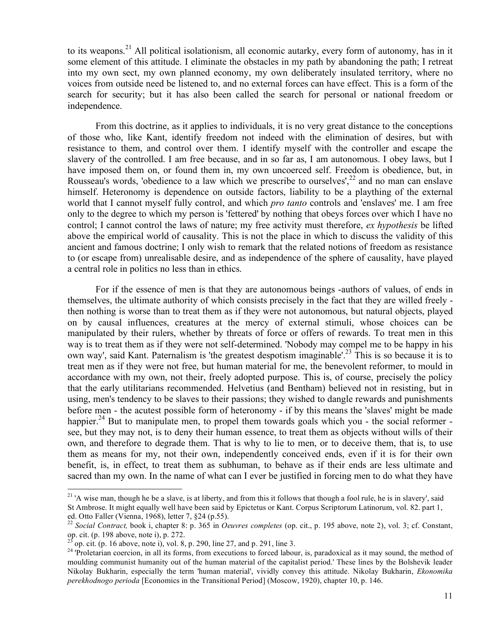to its weapons.<sup>21</sup> All political isolationism, all economic autarky, every form of autonomy, has in it some element of this attitude. I eliminate the obstacles in my path by abandoning the path; I retreat into my own sect, my own planned economy, my own deliberately insulated territory, where no voices from outside need be listened to, and no external forces can have effect. This is a form of the search for security; but it has also been called the search for personal or national freedom or independence.

From this doctrine, as it applies to individuals, it is no very great distance to the conceptions of those who, like Kant, identify freedom not indeed with the elimination of desires, but with resistance to them, and control over them. I identify myself with the controller and escape the slavery of the controlled. I am free because, and in so far as, I am autonomous. I obey laws, but I have imposed them on, or found them in, my own uncoerced self. Freedom is obedience, but, in Rousseau's words, 'obedience to a law which we prescribe to ourselves',  $^{22}$  and no man can enslave himself. Heteronomy is dependence on outside factors, liability to be a plaything of the external world that I cannot myself fully control, and which *pro tanto* controls and 'enslaves' me. I am free only to the degree to which my person is 'fettered' by nothing that obeys forces over which I have no control; I cannot control the laws of nature; my free activity must therefore, *ex hypothesis* be lifted above the empirical world of causality. This is not the place in which to discuss the validity of this ancient and famous doctrine; I only wish to remark that the related notions of freedom as resistance to (or escape from) unrealisable desire, and as independence of the sphere of causality, have played a central role in politics no less than in ethics.

For if the essence of men is that they are autonomous beings -authors of values, of ends in themselves, the ultimate authority of which consists precisely in the fact that they are willed freely then nothing is worse than to treat them as if they were not autonomous, but natural objects, played on by causal influences, creatures at the mercy of external stimuli, whose choices can be manipulated by their rulers, whether by threats of force or offers of rewards. To treat men in this way is to treat them as if they were not self-determined. 'Nobody may compel me to be happy in his own way', said Kant. Paternalism is 'the greatest despotism imaginable'.<sup>23</sup> This is so because it is to treat men as if they were not free, but human material for me, the benevolent reformer, to mould in accordance with my own, not their, freely adopted purpose. This is, of course, precisely the policy that the early utilitarians recommended. Helvetius (and Bentham) believed not in resisting, but in using, men's tendency to be slaves to their passions; they wished to dangle rewards and punishments before men - the acutest possible form of heteronomy - if by this means the 'slaves' might be made happier.<sup>24</sup> But to manipulate men, to propel them towards goals which you - the social reformer see, but they may not, is to deny their human essence, to treat them as objects without wills of their own, and therefore to degrade them. That is why to lie to men, or to deceive them, that is, to use them as means for my, not their own, independently conceived ends, even if it is for their own benefit, is, in effect, to treat them as subhuman, to behave as if their ends are less ultimate and sacred than my own. In the name of what can I ever be justified in forcing men to do what they have

<sup>&</sup>lt;sup>21</sup> 'A wise man, though he be a slave, is at liberty, and from this it follows that though a fool rule, he is in slavery', said St Ambrose. It might equally well have been said by Epictetus or Kant. Corpus Scriptorum Latinorum, vol. 82. part 1,

ed. Otto Faller (Vienna, 1968), letter 7, §24 (p.55).<br><sup>22</sup> *Social Contract*, book i, chapter 8: p. 365 in *Oeuvres completes* (op. cit., p. 195 above, note 2), vol. 3; cf. Constant, op. cit. (p. 198 above, note i), p. 272

<sup>&</sup>lt;sup>23</sup> op. cit. (p. 16 above, note i), vol. 8, p. 290, line 27, and p. 291, line 3.<br><sup>24</sup> 'Proletarian coercion, in all its forms, from executions to forced labour, is, paradoxical as it may sound, the method of moulding communist humanity out of the human material of the capitalist period.' These lines by the Bolshevik leader Nikolay Bukharin, especially the term 'human material', vividly convey this attitude. Nikolay Bukharin, *Ekonomika perekhodnogo perioda* [Economics in the Transitional Period] (Moscow, 1920), chapter 10, p. 146.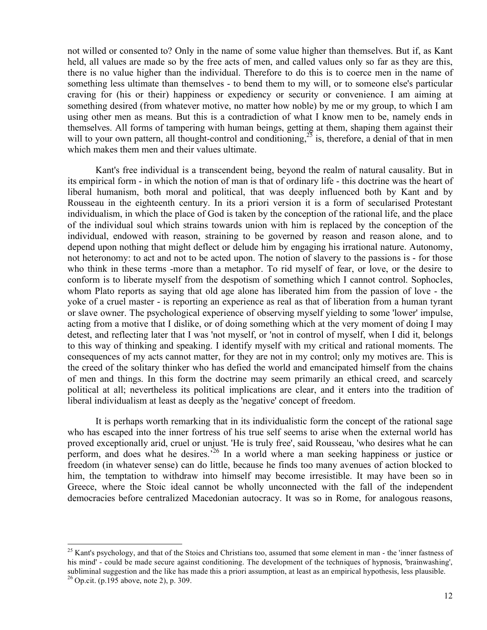not willed or consented to? Only in the name of some value higher than themselves. But if, as Kant held, all values are made so by the free acts of men, and called values only so far as they are this, there is no value higher than the individual. Therefore to do this is to coerce men in the name of something less ultimate than themselves - to bend them to my will, or to someone else's particular craving for (his or their) happiness or expediency or security or convenience. I am aiming at something desired (from whatever motive, no matter how noble) by me or my group, to which I am using other men as means. But this is a contradiction of what I know men to be, namely ends in themselves. All forms of tampering with human beings, getting at them, shaping them against their will to your own pattern, all thought-control and conditioning,  $^{25}$  is, therefore, a denial of that in men which makes them men and their values ultimate.

Kant's free individual is a transcendent being, beyond the realm of natural causality. But in its empirical form - in which the notion of man is that of ordinary life - this doctrine was the heart of liberal humanism, both moral and political, that was deeply influenced both by Kant and by Rousseau in the eighteenth century. In its a priori version it is a form of secularised Protestant individualism, in which the place of God is taken by the conception of the rational life, and the place of the individual soul which strains towards union with him is replaced by the conception of the individual, endowed with reason, straining to be governed by reason and reason alone, and to depend upon nothing that might deflect or delude him by engaging his irrational nature. Autonomy, not heteronomy: to act and not to be acted upon. The notion of slavery to the passions is - for those who think in these terms -more than a metaphor. To rid myself of fear, or love, or the desire to conform is to liberate myself from the despotism of something which I cannot control. Sophocles, whom Plato reports as saying that old age alone has liberated him from the passion of love - the yoke of a cruel master - is reporting an experience as real as that of liberation from a human tyrant or slave owner. The psychological experience of observing myself yielding to some 'lower' impulse, acting from a motive that I dislike, or of doing something which at the very moment of doing I may detest, and reflecting later that I was 'not myself, or 'not in control of myself, when I did it, belongs to this way of thinking and speaking. I identify myself with my critical and rational moments. The consequences of my acts cannot matter, for they are not in my control; only my motives are. This is the creed of the solitary thinker who has defied the world and emancipated himself from the chains of men and things. In this form the doctrine may seem primarily an ethical creed, and scarcely political at all; nevertheless its political implications are clear, and it enters into the tradition of liberal individualism at least as deeply as the 'negative' concept of freedom.

It is perhaps worth remarking that in its individualistic form the concept of the rational sage who has escaped into the inner fortress of his true self seems to arise when the external world has proved exceptionally arid, cruel or unjust. 'He is truly free', said Rousseau, 'who desires what he can perform, and does what he desires.<sup>526</sup> In a world where a man seeking happiness or justice or freedom (in whatever sense) can do little, because he finds too many avenues of action blocked to him, the temptation to withdraw into himself may become irresistible. It may have been so in Greece, where the Stoic ideal cannot be wholly unconnected with the fall of the independent democracies before centralized Macedonian autocracy. It was so in Rome, for analogous reasons,

<sup>&</sup>lt;sup>25</sup> Kant's psychology, and that of the Stoics and Christians too, assumed that some element in man - the 'inner fastness of his mind' - could be made secure against conditioning. The development of the techniques of hypnosis, 'brainwashing', subliminal suggestion and the like has made this <sup>a</sup> priori assumption, at least as an empirical hypothesis, less plausible. <sup>26</sup> Op.cit. (p.195 above, note 2), p. 309.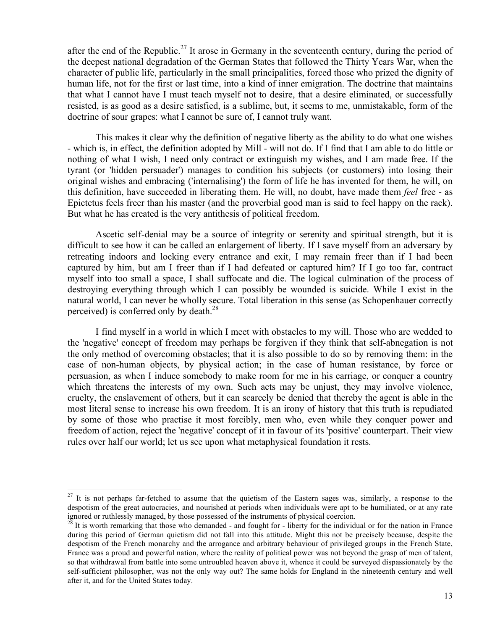after the end of the Republic.<sup>27</sup> It arose in Germany in the seventeenth century, during the period of the deepest national degradation of the German States that followed the Thirty Years War, when the character of public life, particularly in the small principalities, forced those who prized the dignity of human life, not for the first or last time, into a kind of inner emigration. The doctrine that maintains that what I cannot have I must teach myself not to desire, that a desire eliminated, or successfully resisted, is as good as a desire satisfied, is a sublime, but, it seems to me, unmistakable, form of the doctrine of sour grapes: what I cannot be sure of, I cannot truly want.

This makes it clear why the definition of negative liberty as the ability to do what one wishes - which is, in effect, the definition adopted by Mill - will not do. If I find that I am able to do little or nothing of what I wish, I need only contract or extinguish my wishes, and I am made free. If the tyrant (or 'hidden persuader') manages to condition his subjects (or customers) into losing their original wishes and embracing ('internalising') the form of life he has invented for them, he will, on this definition, have succeeded in liberating them. He will, no doubt, have made them *feel* free - as Epictetus feels freer than his master (and the proverbial good man is said to feel happy on the rack). But what he has created is the very antithesis of political freedom.

Ascetic self-denial may be a source of integrity or serenity and spiritual strength, but it is difficult to see how it can be called an enlargement of liberty. If I save myself from an adversary by retreating indoors and locking every entrance and exit, I may remain freer than if I had been captured by him, but am I freer than if I had defeated or captured him? If I go too far, contract myself into too small a space, I shall suffocate and die. The logical culmination of the process of destroying everything through which I can possibly be wounded is suicide. While I exist in the natural world, I can never be wholly secure. Total liberation in this sense (as Schopenhauer correctly perceived) is conferred only by death.28

I find myself in a world in which I meet with obstacles to my will. Those who are wedded to the 'negative' concept of freedom may perhaps be forgiven if they think that self-abnegation is not the only method of overcoming obstacles; that it is also possible to do so by removing them: in the case of non-human objects, by physical action; in the case of human resistance, by force or persuasion, as when I induce somebody to make room for me in his carriage, or conquer a country which threatens the interests of my own. Such acts may be unjust, they may involve violence, cruelty, the enslavement of others, but it can scarcely be denied that thereby the agent is able in the most literal sense to increase his own freedom. It is an irony of history that this truth is repudiated by some of those who practise it most forcibly, men who, even while they conquer power and freedom of action, reject the 'negative' concept of it in favour of its 'positive' counterpart. Their view rules over half our world; let us see upon what metaphysical foundation it rests.

<sup>&</sup>lt;sup>27</sup> It is not perhaps far-fetched to assume that the quietism of the Eastern sages was, similarly, a response to the despotism of the great autocracies, and nourished at periods when individuals were apt to be humiliated, or at any rate ignored or ruthlessly managed, by those possessed of the instruments of physical coercion.<br><sup>28</sup> It is worth remarking that those who demanded - and fought for - liberty for the individual or for the nation in France

during this period of German quietism did not fall into this attitude. Might this not be precisely because, despite the despotism of the French monarchy and the arrogance and arbitrary behaviour of privileged groups in the French State, France was a proud and powerful nation, where the reality of political power was not beyond the grasp of men of talent, so that withdrawal from battle into some untroubled heaven above it, whence it could be surveyed dispassionately by the self-sufficient philosopher, was not the only way out? The same holds for England in the nineteenth century and well after it, and for the United States today.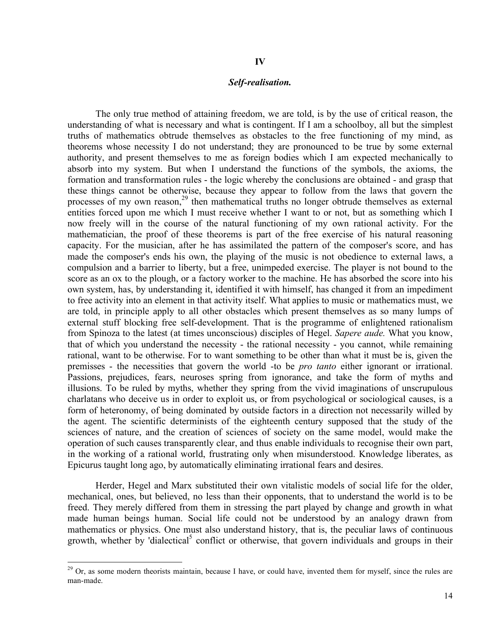#### *Self-realisation.*

The only true method of attaining freedom, we are told, is by the use of critical reason, the understanding of what is necessary and what is contingent. If I am a schoolboy, all but the simplest truths of mathematics obtrude themselves as obstacles to the free functioning of my mind, as theorems whose necessity I do not understand; they are pronounced to be true by some external authority, and present themselves to me as foreign bodies which I am expected mechanically to absorb into my system. But when I understand the functions of the symbols, the axioms, the formation and transformation rules - the logic whereby the conclusions are obtained - and grasp that these things cannot be otherwise, because they appear to follow from the laws that govern the processes of my own reason,<sup>29</sup> then mathematical truths no longer obtrude themselves as external entities forced upon me which I must receive whether I want to or not, but as something which I now freely will in the course of the natural functioning of my own rational activity. For the mathematician, the proof of these theorems is part of the free exercise of his natural reasoning capacity. For the musician, after he has assimilated the pattern of the composer's score, and has made the composer's ends his own, the playing of the music is not obedience to external laws, a compulsion and a barrier to liberty, but a free, unimpeded exercise. The player is not bound to the score as an ox to the plough, or a factory worker to the machine. He has absorbed the score into his own system, has, by understanding it, identified it with himself, has changed it from an impediment to free activity into an element in that activity itself. What applies to music or mathematics must, we are told, in principle apply to all other obstacles which present themselves as so many lumps of external stuff blocking free self-development. That is the programme of enlightened rationalism from Spinoza to the latest (at times unconscious) disciples of Hegel. *Sapere aude.* What you know, that of which you understand the necessity - the rational necessity - you cannot, while remaining rational, want to be otherwise. For to want something to be other than what it must be is, given the premisses - the necessities that govern the world -to be *pro tanto* either ignorant or irrational. Passions, prejudices, fears, neuroses spring from ignorance, and take the form of myths and illusions. To be ruled by myths, whether they spring from the vivid imaginations of unscrupulous charlatans who deceive us in order to exploit us, or from psychological or sociological causes, is a form of heteronomy, of being dominated by outside factors in a direction not necessarily willed by the agent. The scientific determinists of the eighteenth century supposed that the study of the sciences of nature, and the creation of sciences of society on the same model, would make the operation of such causes transparently clear, and thus enable individuals to recognise their own part, in the working of a rational world, frustrating only when misunderstood. Knowledge liberates, as Epicurus taught long ago, by automatically eliminating irrational fears and desires.

Herder, Hegel and Marx substituted their own vitalistic models of social life for the older, mechanical, ones, but believed, no less than their opponents, that to understand the world is to be freed. They merely differed from them in stressing the part played by change and growth in what made human beings human. Social life could not be understood by an analogy drawn from mathematics or physics. One must also understand history, that is, the peculiar laws of continuous growth, whether by 'dialectical<sup>5</sup> conflict or otherwise, that govern individuals and groups in their

<sup>&</sup>lt;sup>29</sup> Or, as some modern theorists maintain, because I have, or could have, invented them for myself, since the rules are man-made.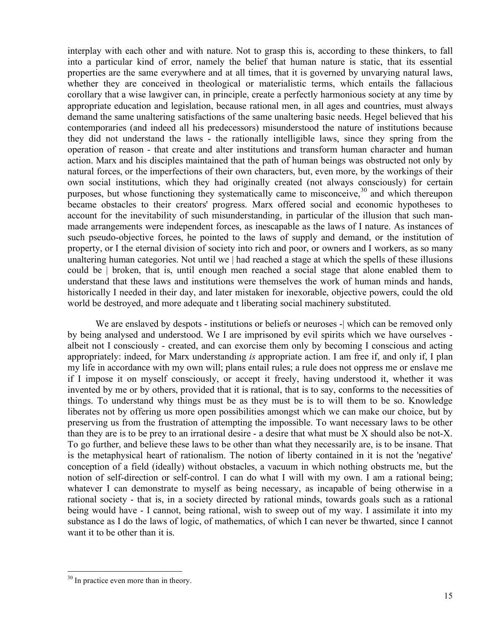interplay with each other and with nature. Not to grasp this is, according to these thinkers, to fall into a particular kind of error, namely the belief that human nature is static, that its essential properties are the same everywhere and at all times, that it is governed by unvarying natural laws, whether they are conceived in theological or materialistic terms, which entails the fallacious corollary that a wise lawgiver can, in principle, create a perfectly harmonious society at any time by appropriate education and legislation, because rational men, in all ages and countries, must always demand the same unaltering satisfactions of the same unaltering basic needs. Hegel believed that his contemporaries (and indeed all his predecessors) misunderstood the nature of institutions because they did not understand the laws - the rationally intelligible laws, since they spring from the operation of reason - that create and alter institutions and transform human character and human action. Marx and his disciples maintained that the path of human beings was obstructed not only by natural forces, or the imperfections of their own characters, but, even more, by the workings of their own social institutions, which they had originally created (not always consciously) for certain purposes, but whose functioning they systematically came to misconceive,<sup>30</sup> and which thereupon became obstacles to their creators' progress. Marx offered social and economic hypotheses to account for the inevitability of such misunderstanding, in particular of the illusion that such manmade arrangements were independent forces, as inescapable as the laws of I nature. As instances of such pseudo-objective forces, he pointed to the laws of supply and demand, or the institution of property, or I the eternal division of society into rich and poor, or owners and I workers, as so many unaltering human categories. Not until we | had reached a stage at which the spells of these illusions could be | broken, that is, until enough men reached a social stage that alone enabled them to understand that these laws and institutions were themselves the work of human minds and hands, historically I needed in their day, and later mistaken for inexorable, objective powers, could the old world be destroyed, and more adequate and t liberating social machinery substituted.

We are enslaved by despots - institutions or beliefs or neuroses - which can be removed only by being analysed and understood. We I are imprisoned by evil spirits which we have ourselves albeit not I consciously - created, and can exorcise them only by becoming I conscious and acting appropriately: indeed, for Marx understanding *is* appropriate action. I am free if, and only if, I plan my life in accordance with my own will; plans entail rules; a rule does not oppress me or enslave me if I impose it on myself consciously, or accept it freely, having understood it, whether it was invented by me or by others, provided that it is rational, that is to say, conforms to the necessities of things. To understand why things must be as they must be is to will them to be so. Knowledge liberates not by offering us more open possibilities amongst which we can make our choice, but by preserving us from the frustration of attempting the impossible. To want necessary laws to be other than they are is to be prey to an irrational desire - a desire that what must be X should also be not-X. To go further, and believe these laws to be other than what they necessarily are, is to be insane. That is the metaphysical heart of rationalism. The notion of liberty contained in it is not the 'negative' conception of a field (ideally) without obstacles, a vacuum in which nothing obstructs me, but the notion of self-direction or self-control. I can do what I will with my own. I am a rational being; whatever I can demonstrate to myself as being necessary, as incapable of being otherwise in a rational society - that is, in a society directed by rational minds, towards goals such as a rational being would have - I cannot, being rational, wish to sweep out of my way. I assimilate it into my substance as I do the laws of logic, of mathematics, of which I can never be thwarted, since I cannot want it to be other than it is.

<sup>&</sup>lt;sup>30</sup> In practice even more than in theory.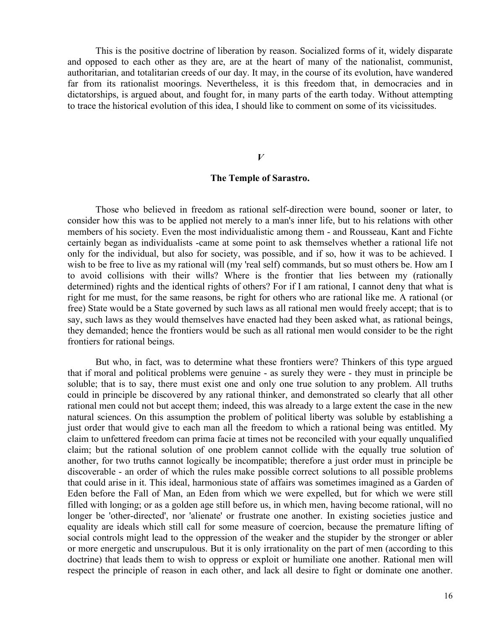This is the positive doctrine of liberation by reason. Socialized forms of it, widely disparate and opposed to each other as they are, are at the heart of many of the nationalist, communist, authoritarian, and totalitarian creeds of our day. It may, in the course of its evolution, have wandered far from its rationalist moorings. Nevertheless, it is this freedom that, in democracies and in dictatorships, is argued about, and fought for, in many parts of the earth today. Without attempting to trace the historical evolution of this idea, I should like to comment on some of its vicissitudes.

### *V*

#### **The Temple of Sarastro.**

Those who believed in freedom as rational self-direction were bound, sooner or later, to consider how this was to be applied not merely to a man's inner life, but to his relations with other members of his society. Even the most individualistic among them - and Rousseau, Kant and Fichte certainly began as individualists -came at some point to ask themselves whether a rational life not only for the individual, but also for society, was possible, and if so, how it was to be achieved. I wish to be free to live as my rational will (my 'real self) commands, but so must others be. How am I to avoid collisions with their wills? Where is the frontier that lies between my (rationally determined) rights and the identical rights of others? For if I am rational, I cannot deny that what is right for me must, for the same reasons, be right for others who are rational like me. A rational (or free) State would be a State governed by such laws as all rational men would freely accept; that is to say, such laws as they would themselves have enacted had they been asked what, as rational beings, they demanded; hence the frontiers would be such as all rational men would consider to be the right frontiers for rational beings.

But who, in fact, was to determine what these frontiers were? Thinkers of this type argued that if moral and political problems were genuine - as surely they were - they must in principle be soluble; that is to say, there must exist one and only one true solution to any problem. All truths could in principle be discovered by any rational thinker, and demonstrated so clearly that all other rational men could not but accept them; indeed, this was already to a large extent the case in the new natural sciences. On this assumption the problem of political liberty was soluble by establishing a just order that would give to each man all the freedom to which a rational being was entitled. My claim to unfettered freedom can prima facie at times not be reconciled with your equally unqualified claim; but the rational solution of one problem cannot collide with the equally true solution of another, for two truths cannot logically be incompatible; therefore a just order must in principle be discoverable - an order of which the rules make possible correct solutions to all possible problems that could arise in it. This ideal, harmonious state of affairs was sometimes imagined as a Garden of Eden before the Fall of Man, an Eden from which we were expelled, but for which we were still filled with longing; or as a golden age still before us, in which men, having become rational, will no longer be 'other-directed', nor 'alienate' or frustrate one another. In existing societies justice and equality are ideals which still call for some measure of coercion, because the premature lifting of social controls might lead to the oppression of the weaker and the stupider by the stronger or abler or more energetic and unscrupulous. But it is only irrationality on the part of men (according to this doctrine) that leads them to wish to oppress or exploit or humiliate one another. Rational men will respect the principle of reason in each other, and lack all desire to fight or dominate one another.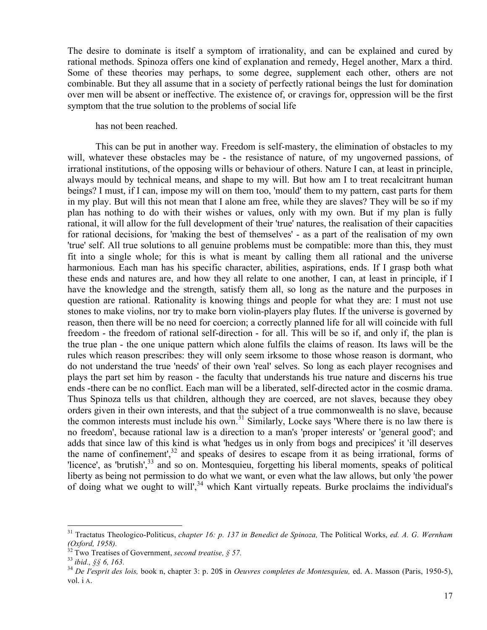The desire to dominate is itself a symptom of irrationality, and can be explained and cured by rational methods. Spinoza offers one kind of explanation and remedy, Hegel another, Marx a third. Some of these theories may perhaps, to some degree, supplement each other, others are not combinable. But they all assume that in a society of perfectly rational beings the lust for domination over men will be absent or ineffective. The existence of, or cravings for, oppression will be the first symptom that the true solution to the problems of social life

has not been reached.

This can be put in another way. Freedom is self-mastery, the elimination of obstacles to my will, whatever these obstacles may be - the resistance of nature, of my ungoverned passions, of irrational institutions, of the opposing wills or behaviour of others. Nature I can, at least in principle, always mould by technical means, and shape to my will. But how am I to treat recalcitrant human beings? I must, if I can, impose my will on them too, 'mould' them to my pattern, cast parts for them in my play. But will this not mean that I alone am free, while they are slaves? They will be so if my plan has nothing to do with their wishes or values, only with my own. But if my plan is fully rational, it will allow for the full development of their 'true' natures, the realisation of their capacities for rational decisions, for 'making the best of themselves' - as a part of the realisation of my own 'true' self. All true solutions to all genuine problems must be compatible: more than this, they must fit into a single whole; for this is what is meant by calling them all rational and the universe harmonious. Each man has his specific character, abilities, aspirations, ends. If I grasp both what these ends and natures are, and how they all relate to one another, I can, at least in principle, if I have the knowledge and the strength, satisfy them all, so long as the nature and the purposes in question are rational. Rationality is knowing things and people for what they are: I must not use stones to make violins, nor try to make born violin-players play flutes. If the universe is governed by reason, then there will be no need for coercion; a correctly planned life for all will coincide with full freedom - the freedom of rational self-direction - for all. This will be so if, and only if, the plan is the true plan - the one unique pattern which alone fulfils the claims of reason. Its laws will be the rules which reason prescribes: they will only seem irksome to those whose reason is dormant, who do not understand the true 'needs' of their own 'real' selves. So long as each player recognises and plays the part set him by reason - the faculty that understands his true nature and discerns his true ends -there can be no conflict. Each man will be a liberated, self-directed actor in the cosmic drama. Thus Spinoza tells us that children, although they are coerced, are not slaves, because they obey orders given in their own interests, and that the subject of a true commonwealth is no slave, because the common interests must include his own.<sup>31</sup> Similarly, Locke says 'Where there is no law there is no freedom', because rational law is a direction to a man's 'proper interests' or 'general good'; and adds that since law of this kind is what 'hedges us in only from bogs and precipices' it 'ill deserves the name of confinement',<sup>32</sup> and speaks of desires to escape from it as being irrational, forms of 'licence', as 'brutish',<sup>33</sup> and so on. Montesquieu, forgetting his liberal moments, speaks of political liberty as being not permission to do what we want, or even what the law allows, but only 'the power of doing what we ought to will',<sup>34</sup> which Kant virtually repeats. Burke proclaims the individual's

 <sup>31</sup> Tractatus Theologico-Politicus, *chapter 16: p. <sup>137</sup> in Benedict de Spinoza,* The Political Works, *ed. A. G. Wernham*

<sup>&</sup>lt;sup>33</sup> ibid., §§ 6, 163.<br><sup>34</sup> De l'esprit des lois, book n, chapter 3: p. 20\$ in Oeuvres completes de Montesquieu, ed. A. Masson (Paris, 1950-5), vol. i A.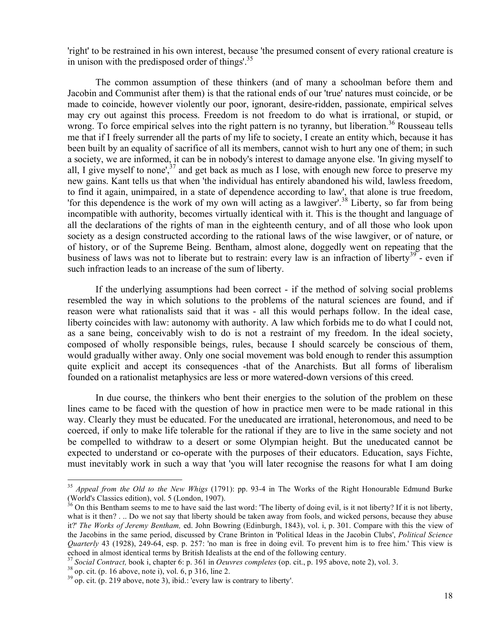'right' to be restrained in his own interest, because 'the presumed consent of every rational creature is in unison with the predisposed order of things'. $^{35}$ 

The common assumption of these thinkers (and of many a schoolman before them and Jacobin and Communist after them) is that the rational ends of our 'true' natures must coincide, or be made to coincide, however violently our poor, ignorant, desire-ridden, passionate, empirical selves may cry out against this process. Freedom is not freedom to do what is irrational, or stupid, or wrong. To force empirical selves into the right pattern is no tyranny, but liberation.<sup>36</sup> Rousseau tells me that if I freely surrender all the parts of my life to society, I create an entity which, because it has been built by an equality of sacrifice of all its members, cannot wish to hurt any one of them; in such a society, we are informed, it can be in nobody's interest to damage anyone else. 'In giving myself to all, I give myself to none', $37$  and get back as much as I lose, with enough new force to preserve my new gains. Kant tells us that when 'the individual has entirely abandoned his wild, lawless freedom, to find it again, unimpaired, in a state of dependence according to law', that alone is true freedom, 'for this dependence is the work of my own will acting as a lawgiver'.<sup>38</sup> Liberty, so far from being incompatible with authority, becomes virtually identical with it. This is the thought and language of all the declarations of the rights of man in the eighteenth century, and of all those who look upon society as a design constructed according to the rational laws of the wise lawgiver, or of nature, or of history, or of the Supreme Being. Bentham, almost alone, doggedly went on repeating that the business of laws was not to liberate but to restrain: every law is an infraction of liberty<sup>39</sup> - even if such infraction leads to an increase of the sum of liberty.

If the underlying assumptions had been correct - if the method of solving social problems resembled the way in which solutions to the problems of the natural sciences are found, and if reason were what rationalists said that it was - all this would perhaps follow. In the ideal case, liberty coincides with law: autonomy with authority. A law which forbids me to do what I could not, as a sane being, conceivably wish to do is not a restraint of my freedom. In the ideal society, composed of wholly responsible beings, rules, because I should scarcely be conscious of them, would gradually wither away. Only one social movement was bold enough to render this assumption quite explicit and accept its consequences -that of the Anarchists. But all forms of liberalism founded on a rationalist metaphysics are less or more watered-down versions of this creed.

In due course, the thinkers who bent their energies to the solution of the problem on these lines came to be faced with the question of how in practice men were to be made rational in this way. Clearly they must be educated. For the uneducated are irrational, heteronomous, and need to be coerced, if only to make life tolerable for the rational if they are to live in the same society and not be compelled to withdraw to a desert or some Olympian height. But the uneducated cannot be expected to understand or co-operate with the purposes of their educators. Education, says Fichte, must inevitably work in such a way that 'you will later recognise the reasons for what I am doing

 <sup>35</sup> *Appeal from the Old to the New Whigs* (1791): pp. 93-4 in The Works of the Right Honourable Edmund Burke (World's Classics edition), vol. 5 (London, 1907).<br><sup>36</sup> On this Bentham seems to me to have said the last word: 'The liberty of doing evil, is it not liberty? If it is not liberty,

what is it then? . .. Do we not say that liberty should be taken away from fools, and wicked persons, because they abuse it?' *The Works of Jeremy Bentham,* ed. John Bowring (Edinburgh, 1843), vol. i, p. 301. Compare with this the view of the Jacobins in the same period, discussed by Crane Brinton in 'Political Ideas in the Jacobin Clubs', *Political Science Quarterly* 43 (1928), 249-64, esp. p. 257: 'no man is free in doing evil. To prevent him is to free him.' This view is echoed in almost identical terms by British Idealists at the end of the following century.<br><sup>37</sup> Social Contract, book i, chapter 6: p. 361 in *Oeuvres completes* (op. cit., p. 195 above, note 2), vol. 3.<br><sup>38</sup> op. cit. (p.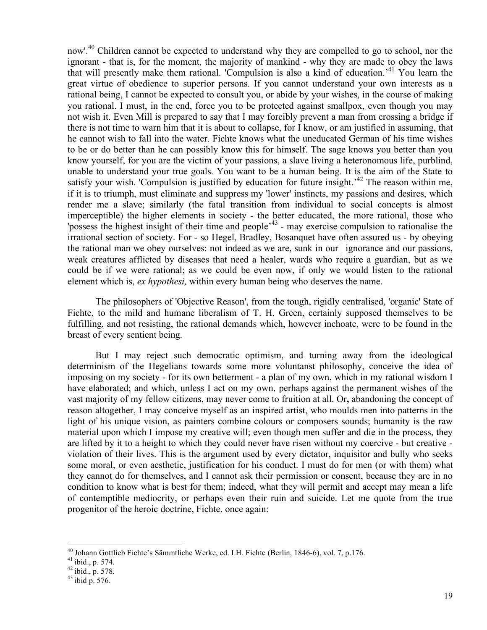now'.<sup>40</sup> Children cannot be expected to understand why they are compelled to go to school, nor the ignorant - that is, for the moment, the majority of mankind - why they are made to obey the laws that will presently make them rational. 'Compulsion is also a kind of education.' <sup>41</sup> You learn the great virtue of obedience to superior persons. If you cannot understand your own interests as a rational being, I cannot be expected to consult you, or abide by your wishes, in the course of making you rational. I must, in the end, force you to be protected against smallpox, even though you may not wish it. Even Mill is prepared to say that I may forcibly prevent a man from crossing a bridge if there is not time to warn him that it is about to collapse, for I know, or am justified in assuming, that he cannot wish to fall into the water. Fichte knows what the uneducated German of his time wishes to be or do better than he can possibly know this for himself. The sage knows you better than you know yourself, for you are the victim of your passions, a slave living a heteronomous life, purblind, unable to understand your true goals. You want to be a human being. It is the aim of the State to satisfy your wish. 'Compulsion is justified by education for future insight.<sup>42</sup> The reason within me, if it is to triumph, must eliminate and suppress my 'lower' instincts, my passions and desires, which render me a slave; similarly (the fatal transition from individual to social concepts is almost imperceptible) the higher elements in society - the better educated, the more rational, those who 'possess the highest insight of their time and people' <sup>43</sup> - may exercise compulsion to rationalise the irrational section of society. For - so Hegel, Bradley, Bosanquet have often assured us - by obeying the rational man we obey ourselves: not indeed as we are, sunk in our | ignorance and our passions, weak creatures afflicted by diseases that need a healer, wards who require a guardian, but as we could be if we were rational; as we could be even now, if only we would listen to the rational element which is, *ex hypothesi,* within every human being who deserves the name.

The philosophers of 'Objective Reason', from the tough, rigidly centralised, 'organic' State of Fichte, to the mild and humane liberalism of T. H. Green, certainly supposed themselves to be fulfilling, and not resisting, the rational demands which, however inchoate, were to be found in the breast of every sentient being.

But I may reject such democratic optimism, and turning away from the ideological determinism of the Hegelians towards some more voluntanst philosophy, conceive the idea of imposing on my society - for its own betterment - a plan of my own, which in my rational wisdom I have elaborated; and which, unless I act on my own, perhaps against the permanent wishes of the vast majority of my fellow citizens, may never come to fruition at all. Or**,** abandoning the concept of reason altogether, I may conceive myself as an inspired artist, who moulds men into patterns in the light of his unique vision, as painters combine colours or composers sounds; humanity is the raw material upon which I impose my creative will; even though men suffer and die in the process, they are lifted by it to a height to which they could never have risen without my coercive - but creative violation of their lives. This is the argument used by every dictator, inquisitor and bully who seeks some moral, or even aesthetic, justification for his conduct. I must do for men (or with them) what they cannot do for themselves, and I cannot ask their permission or consent, because they are in no condition to know what is best for them; indeed, what they will permit and accept may mean a life of contemptible mediocrity, or perhaps even their ruin and suicide. Let me quote from the true progenitor of the heroic doctrine, Fichte, once again:

<sup>&</sup>lt;sup>40</sup> Johann Gottlieb Fichte's Sämmtliche Werke, ed. I.H. Fichte (Berlin, 1846-6), vol. 7, p.176.<br><sup>41</sup> ibid., p. 574.<br><sup>42</sup> ibid., p. 578.<br><sup>43</sup> ibid p. 576.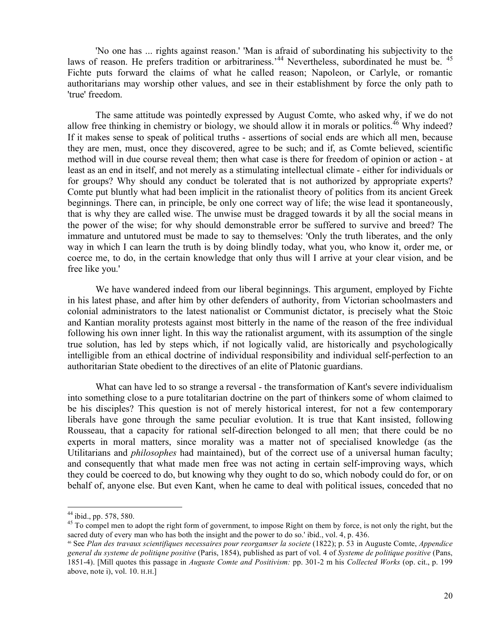'No one has ... rights against reason.' 'Man is afraid of subordinating his subjectivity to the laws of reason. He prefers tradition or arbitrariness.<sup>44</sup> Nevertheless, subordinated he must be.<sup>45</sup> Fichte puts forward the claims of what he called reason; Napoleon, or Carlyle, or romantic authoritarians may worship other values, and see in their establishment by force the only path to 'true' freedom.

The same attitude was pointedly expressed by August Comte, who asked why, if we do not allow free thinking in chemistry or biology, we should allow it in morals or politics.<sup>46</sup> Why indeed? If it makes sense to speak of political truths - assertions of social ends are which all men, because they are men, must, once they discovered, agree to be such; and if, as Comte believed, scientific method will in due course reveal them; then what case is there for freedom of opinion or action - at least as an end in itself, and not merely as a stimulating intellectual climate - either for individuals or for groups? Why should any conduct be tolerated that is not authorized by appropriate experts? Comte put bluntly what had been implicit in the rationalist theory of politics from its ancient Greek beginnings. There can, in principle, be only one correct way of life; the wise lead it spontaneously, that is why they are called wise. The unwise must be dragged towards it by all the social means in the power of the wise; for why should demonstrable error be suffered to survive and breed? The immature and untutored must be made to say to themselves: 'Only the truth liberates, and the only way in which I can learn the truth is by doing blindly today, what you, who know it, order me, or coerce me, to do, in the certain knowledge that only thus will I arrive at your clear vision, and be free like you.'

We have wandered indeed from our liberal beginnings. This argument, employed by Fichte in his latest phase, and after him by other defenders of authority, from Victorian schoolmasters and colonial administrators to the latest nationalist or Communist dictator, is precisely what the Stoic and Kantian morality protests against most bitterly in the name of the reason of the free individual following his own inner light. In this way the rationalist argument, with its assumption of the single true solution, has led by steps which, if not logically valid, are historically and psychologically intelligible from an ethical doctrine of individual responsibility and individual self-perfection to an authoritarian State obedient to the directives of an elite of Platonic guardians.

What can have led to so strange a reversal - the transformation of Kant's severe individualism into something close to a pure totalitarian doctrine on the part of thinkers some of whom claimed to be his disciples? This question is not of merely historical interest, for not a few contemporary liberals have gone through the same peculiar evolution. It is true that Kant insisted, following Rousseau, that a capacity for rational self-direction belonged to all men; that there could be no experts in moral matters, since morality was a matter not of specialised knowledge (as the Utilitarians and *philosophes* had maintained), but of the correct use of a universal human faculty; and consequently that what made men free was not acting in certain self-improving ways, which they could be coerced to do, but knowing why they ought to do so, which nobody could do for, or on behalf of, anyone else. But even Kant, when he came to deal with political issues, conceded that no

 $44 \text{ ibid.}$ , pp. 578, 580.  $45 \text{ To complet}$  form of government, to impose Right on them by force, is not only the right, but the sacred duty of every man who has both the insight and the power to do so.' ibid., vol. 4, p. 436.

<sup>46</sup> See *Plan des travaux scientifiques necessaires pour reorgamser la societe* (1822); p. 53 in Auguste Comte, *Appendice general du systeme de politiqne positive* (Paris, 1854), published as part of vol. 4 of *Systeme de politique positive* (Pans, 1851-4). [Mill quotes this passage in *Auguste Comte and Positivism:* pp. 301-2 m his *Collected Works* (op. cit., p. 199 above, note i), vol. 10. H.H.]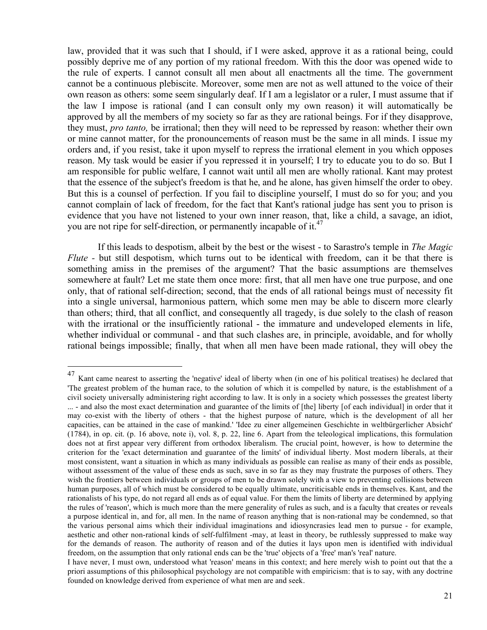law, provided that it was such that I should, if I were asked, approve it as a rational being, could possibly deprive me of any portion of my rational freedom. With this the door was opened wide to the rule of experts. I cannot consult all men about all enactments all the time. The government cannot be a continuous plebiscite. Moreover, some men are not as well attuned to the voice of their own reason as others: some seem singularly deaf. If I am a legislator or a ruler, I must assume that if the law I impose is rational (and I can consult only my own reason) it will automatically be approved by all the members of my society so far as they are rational beings. For if they disapprove, they must, *pro tanto,* be irrational; then they will need to be repressed by reason: whether their own or mine cannot matter, for the pronouncements of reason must be the same in all minds. I issue my orders and, if you resist, take it upon myself to repress the irrational element in you which opposes reason. My task would be easier if you repressed it in yourself; I try to educate you to do so. But I am responsible for public welfare, I cannot wait until all men are wholly rational. Kant may protest that the essence of the subject's freedom is that he, and he alone, has given himself the order to obey. But this is a counsel of perfection. If you fail to discipline yourself, I must do so for you; and you cannot complain of lack of freedom, for the fact that Kant's rational judge has sent you to prison is evidence that you have not listened to your own inner reason, that, like a child, a savage, an idiot, you are not ripe for self-direction, or permanently incapable of it.<sup>47</sup>

If this leads to despotism, albeit by the best or the wisest - to Sarastro's temple in *The Magic Flute* - but still despotism, which turns out to be identical with freedom, can it be that there is something amiss in the premises of the argument? That the basic assumptions are themselves somewhere at fault? Let me state them once more: first, that all men have one true purpose, and one only, that of rational self-direction; second, that the ends of all rational beings must of necessity fit into a single universal, harmonious pattern, which some men may be able to discern more clearly than others; third, that all conflict, and consequently all tragedy, is due solely to the clash of reason with the irrational or the insufficiently rational - the immature and undeveloped elements in life, whether individual or communal - and that such clashes are, in principle, avoidable, and for wholly rational beings impossible; finally, that when all men have been made rational, they will obey the

 <sup>47</sup> Kant came nearest to asserting the 'negative' ideal of liberty when (in one of his political treatises) he declared that 'The greatest problem of the human race, to the solution of which it is compelled by nature, is the establishment of a civil society universally administering right according to law. It is only in a society which possesses the greatest liberty ... - and also the most exact determination and guarantee of the limits of [the] liberty [of each individual] in order that it may co-exist with the liberty of others - that the highest purpose of nature, which is the development of all her capacities, can be attained in the case of mankind.' 'Idee zu einer allgemeinen Geschichte in weltbürgerlicher Absicht' (1784), in op. cit. (p. 16 above, note i), vol. 8, p. 22, line 6. Apart from the teleological implications, this formulation does not at first appear very different from orthodox liberalism. The crucial point, however, is how to determine the criterion for the 'exact determination and guarantee of the limits' of individual liberty. Most modern liberals, at their most consistent, want a situation in which as many individuals as possible can realise as many of their ends as possible, without assessment of the value of these ends as such, save in so far as they may frustrate the purposes of others. They wish the frontiers between individuals or groups of men to be drawn solely with a view to preventing collisions between human purposes, all of which must be considered to be equally ultimate, uncriticisable ends in themselves. Kant, and the rationalists of his type, do not regard all ends as of equal value. For them the limits of liberty are determined by applying the rules of 'reason', which is much more than the mere generality of rules as such, and is a faculty that creates or reveals a purpose identical in, and for, all men. In the name of reason anything that is non-rational may be condemned, so that the various personal aims which their individual imaginations and idiosyncrasies lead men to pursue - for example, aesthetic and other non-rational kinds of self-fulfilment -may, at least in theory, be ruthlessly suppressed to make way for the demands of reason. The authority of reason and of the duties it lays upon men is identified with individual freedom, on the assumption that only rational ends can be the 'true' objects of a 'free' man's 'real' nature.

I have never, I must own, understood what 'reason' means in this context; and here merely wish to point out that the a priori assumptions of this philosophical psychology are not compatible with empiricism: that is to say, with any doctrine founded on knowledge derived from experience of what men are and seek.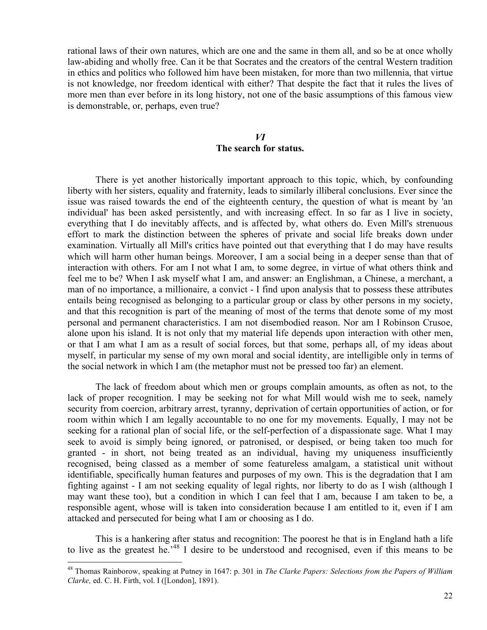rational laws of their own natures, which are one and the same in them all, and so be at once wholly law-abiding and wholly free. Can it be that Socrates and the creators of the central Western tradition in ethics and politics who followed him have been mistaken, for more than two millennia, that virtue is not knowledge, nor freedom identical with either? That despite the fact that it rules the lives of more men than ever before in its long history, not one of the basic assumptions of this famous view is demonstrable, or, perhaps, even true?

## *VI* **The search for status.**

There is yet another historically important approach to this topic, which, by confounding liberty with her sisters, equality and fraternity, leads to similarly illiberal conclusions. Ever since the issue was raised towards the end of the eighteenth century, the question of what is meant by 'an individual' has been asked persistently, and with increasing effect. In so far as I live in society, everything that I do inevitably affects, and is affected by, what others do. Even Mill's strenuous effort to mark the distinction between the spheres of private and social life breaks down under examination. Virtually all Mill's critics have pointed out that everything that I do may have results which will harm other human beings. Moreover, I am a social being in a deeper sense than that of interaction with others. For am I not what I am, to some degree, in virtue of what others think and feel me to be? When I ask myself what I am, and answer: an Englishman, a Chinese, a merchant, a man of no importance, a millionaire, a convict - I find upon analysis that to possess these attributes entails being recognised as belonging to a particular group or class by other persons in my society, and that this recognition is part of the meaning of most of the terms that denote some of my most personal and permanent characteristics. I am not disembodied reason. Nor am I Robinson Crusoe, alone upon his island. It is not only that my material life depends upon interaction with other men, or that I am what I am as a result of social forces, but that some, perhaps all, of my ideas about myself, in particular my sense of my own moral and social identity, are intelligible only in terms of the social network in which I am (the metaphor must not be pressed too far) an element.

The lack of freedom about which men or groups complain amounts, as often as not, to the lack of proper recognition. I may be seeking not for what Mill would wish me to seek, namely security from coercion, arbitrary arrest, tyranny, deprivation of certain opportunities of action, or for room within which I am legally accountable to no one for my movements. Equally, I may not be seeking for a rational plan of social life, or the self-perfection of a dispassionate sage. What I may seek to avoid is simply being ignored, or patronised, or despised, or being taken too much for granted - in short, not being treated as an individual, having my uniqueness insufficiently recognised, being classed as a member of some featureless amalgam, a statistical unit without identifiable, specifically human features and purposes of my own. This is the degradation that I am fighting against - I am not seeking equality of legal rights, nor liberty to do as I wish (although I may want these too), but a condition in which I can feel that I am, because I am taken to be, a responsible agent, whose will is taken into consideration because I am entitled to it, even if I am attacked and persecuted for being what I am or choosing as I do.

This is a hankering after status and recognition: The poorest he that is in England hath a life to live as the greatest he.' <sup>48</sup> I desire to be understood and recognised, even if this means to be

 <sup>48</sup> Thomas Rainborow, speaking at Putney in 1647: p. <sup>301</sup> in *The Clarke Papers: Selections from the Papers of William Clarke,* ed. C. H. Firth, vol. I ([London], 1891).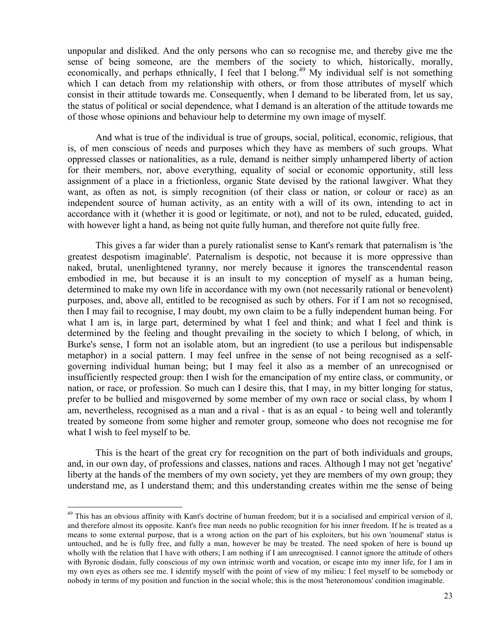unpopular and disliked. And the only persons who can so recognise me, and thereby give me the sense of being someone, are the members of the society to which, historically, morally, economically, and perhaps ethnically, I feel that I belong.<sup>49</sup> My individual self is not something which I can detach from my relationship with others, or from those attributes of myself which consist in their attitude towards me. Consequently, when I demand to be liberated from, let us say, the status of political or social dependence, what I demand is an alteration of the attitude towards me of those whose opinions and behaviour help to determine my own image of myself.

And what is true of the individual is true of groups, social, political, economic, religious, that is, of men conscious of needs and purposes which they have as members of such groups. What oppressed classes or nationalities, as a rule, demand is neither simply unhampered liberty of action for their members, nor, above everything, equality of social or economic opportunity, still less assignment of a place in a frictionless, organic State devised by the rational lawgiver. What they want, as often as not, is simply recognition (of their class or nation, or colour or race) as an independent source of human activity, as an entity with a will of its own, intending to act in accordance with it (whether it is good or legitimate, or not), and not to be ruled, educated, guided, with however light a hand, as being not quite fully human, and therefore not quite fully free.

This gives a far wider than a purely rationalist sense to Kant's remark that paternalism is 'the greatest despotism imaginable'. Paternalism is despotic, not because it is more oppressive than naked, brutal, unenlightened tyranny, nor merely because it ignores the transcendental reason embodied in me, but because it is an insult to my conception of myself as a human being, determined to make my own life in accordance with my own (not necessarily rational or benevolent) purposes, and, above all, entitled to be recognised as such by others. For if I am not so recognised, then I may fail to recognise, I may doubt, my own claim to be a fully independent human being. For what I am is, in large part, determined by what I feel and think; and what I feel and think is determined by the feeling and thought prevailing in the society to which I belong, of which, in Burke's sense, I form not an isolable atom, but an ingredient (to use a perilous but indispensable metaphor) in a social pattern. I may feel unfree in the sense of not being recognised as a selfgoverning individual human being; but I may feel it also as a member of an unrecognised or insufficiently respected group: then I wish for the emancipation of my entire class, or community, or nation, or race, or profession. So much can I desire this, that I may, in my bitter longing for status, prefer to be bullied and misgoverned by some member of my own race or social class, by whom I am, nevertheless, recognised as a man and a rival - that is as an equal - to being well and tolerantly treated by someone from some higher and remoter group, someone who does not recognise me for what I wish to feel myself to be.

This is the heart of the great cry for recognition on the part of both individuals and groups, and, in our own day, of professions and classes, nations and races. Although I may not get 'negative' liberty at the hands of the members of my own society, yet they are members of my own group; they understand me, as I understand them; and this understanding creates within me the sense of being

 $49$  This has an obvious affinity with Kant's doctrine of human freedom; but it is a socialised and empirical version of il, and therefore almost its opposite. Kant's free man needs no public recognition for his inner freedom. If he is treated as a means to some external purpose, that is a wrong action on the part of his exploiters, but his own 'noumenal' status is untouched, and he is fully free, and fully a man, however he may be treated. The need spoken of here is bound up wholly with the relation that I have with others; I am nothing if I am unrecognised. I cannot ignore the attitude of others with Byronic disdain, fully conscious of my own intrinsic worth and vocation, or escape into my inner life, for I am in my own eyes as others see me. I identify myself with the point of view of my milieu: I feel myself to be somebody or nobody in terms of my position and function in the social whole; this is the most 'heteronomous' condition imaginable.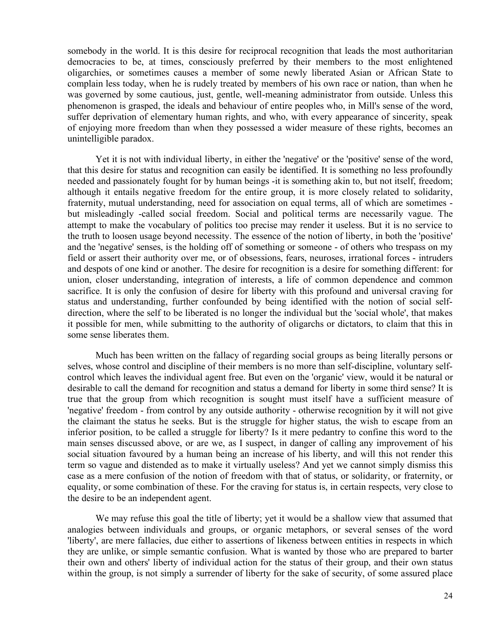somebody in the world. It is this desire for reciprocal recognition that leads the most authoritarian democracies to be, at times, consciously preferred by their members to the most enlightened oligarchies, or sometimes causes a member of some newly liberated Asian or African State to complain less today, when he is rudely treated by members of his own race or nation, than when he was governed by some cautious, just, gentle, well-meaning administrator from outside. Unless this phenomenon is grasped, the ideals and behaviour of entire peoples who, in Mill's sense of the word, suffer deprivation of elementary human rights, and who, with every appearance of sincerity, speak of enjoying more freedom than when they possessed a wider measure of these rights, becomes an unintelligible paradox.

Yet it is not with individual liberty, in either the 'negative' or the 'positive' sense of the word, that this desire for status and recognition can easily be identified. It is something no less profoundly needed and passionately fought for by human beings -it is something akin to, but not itself, freedom; although it entails negative freedom for the entire group, it is more closely related to solidarity, fraternity, mutual understanding, need for association on equal terms, all of which are sometimes but misleadingly -called social freedom. Social and political terms are necessarily vague. The attempt to make the vocabulary of politics too precise may render it useless. But it is no service to the truth to loosen usage beyond necessity. The essence of the notion of liberty, in both the 'positive' and the 'negative' senses, is the holding off of something or someone - of others who trespass on my field or assert their authority over me, or of obsessions, fears, neuroses, irrational forces - intruders and despots of one kind or another. The desire for recognition is a desire for something different: for union, closer understanding, integration of interests, a life of common dependence and common sacrifice. It is only the confusion of desire for liberty with this profound and universal craving for status and understanding, further confounded by being identified with the notion of social selfdirection, where the self to be liberated is no longer the individual but the 'social whole', that makes it possible for men, while submitting to the authority of oligarchs or dictators, to claim that this in some sense liberates them.

Much has been written on the fallacy of regarding social groups as being literally persons or selves, whose control and discipline of their members is no more than self-discipline, voluntary selfcontrol which leaves the individual agent free. But even on the 'organic' view, would it be natural or desirable to call the demand for recognition and status a demand for liberty in some third sense? It is true that the group from which recognition is sought must itself have a sufficient measure of 'negative' freedom - from control by any outside authority - otherwise recognition by it will not give the claimant the status he seeks. But is the struggle for higher status, the wish to escape from an inferior position, to be called a struggle for liberty? Is it mere pedantry to confine this word to the main senses discussed above, or are we, as I suspect, in danger of calling any improvement of his social situation favoured by a human being an increase of his liberty, and will this not render this term so vague and distended as to make it virtually useless? And yet we cannot simply dismiss this case as a mere confusion of the notion of freedom with that of status, or solidarity, or fraternity, or equality, or some combination of these. For the craving for status is, in certain respects, very close to the desire to be an independent agent.

We may refuse this goal the title of liberty; yet it would be a shallow view that assumed that analogies between individuals and groups, or organic metaphors, or several senses of the word 'liberty', are mere fallacies, due either to assertions of likeness between entities in respects in which they are unlike, or simple semantic confusion. What is wanted by those who are prepared to barter their own and others' liberty of individual action for the status of their group, and their own status within the group, is not simply a surrender of liberty for the sake of security, of some assured place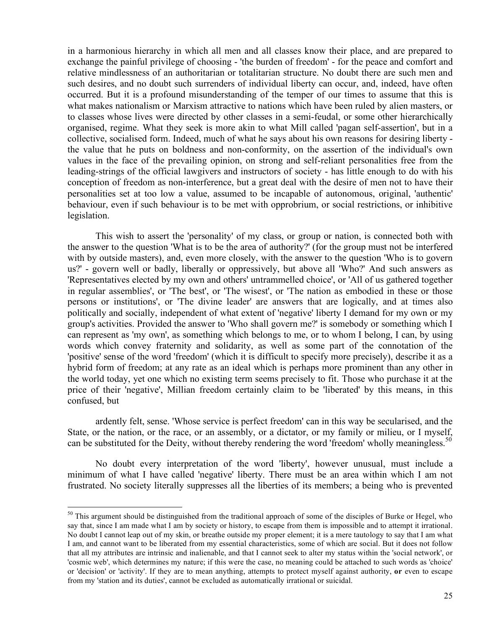in a harmonious hierarchy in which all men and all classes know their place, and are prepared to exchange the painful privilege of choosing - 'the burden of freedom' - for the peace and comfort and relative mindlessness of an authoritarian or totalitarian structure. No doubt there are such men and such desires, and no doubt such surrenders of individual liberty can occur, and, indeed, have often occurred. But it is a profound misunderstanding of the temper of our times to assume that this is what makes nationalism or Marxism attractive to nations which have been ruled by alien masters, or to classes whose lives were directed by other classes in a semi-feudal, or some other hierarchically organised, regime. What they seek is more akin to what Mill called 'pagan self-assertion', but in a collective, socialised form. Indeed, much of what he says about his own reasons for desiring liberty the value that he puts on boldness and non-conformity, on the assertion of the individual's own values in the face of the prevailing opinion, on strong and self-reliant personalities free from the leading-strings of the official lawgivers and instructors of society - has little enough to do with his conception of freedom as non-interference, but a great deal with the desire of men not to have their personalities set at too low a value, assumed to be incapable of autonomous, original, 'authentic' behaviour, even if such behaviour is to be met with opprobrium, or social restrictions, or inhibitive legislation.

This wish to assert the 'personality' of my class, or group or nation, is connected both with the answer to the question 'What is to be the area of authority?' (for the group must not be interfered with by outside masters), and, even more closely, with the answer to the question 'Who is to govern us?' - govern well or badly, liberally or oppressively, but above all 'Who?' And such answers as 'Representatives elected by my own and others' untrammelled choice', or 'All of us gathered together in regular assemblies', or 'The best', or 'The wisest', or 'The nation as embodied in these or those persons or institutions', or 'The divine leader' are answers that are logically, and at times also politically and socially, independent of what extent of 'negative' liberty I demand for my own or my group's activities. Provided the answer to 'Who shall govern me?' is somebody or something which I can represent as 'my own', as something which belongs to me, or to whom I belong, I can, by using words which convey fraternity and solidarity, as well as some part of the connotation of the 'positive' sense of the word 'freedom' (which it is difficult to specify more precisely), describe it as a hybrid form of freedom; at any rate as an ideal which is perhaps more prominent than any other in the world today, yet one which no existing term seems precisely to fit. Those who purchase it at the price of their 'negative', Millian freedom certainly claim to be 'liberated' by this means, in this confused, but

ardently felt, sense. 'Whose service is perfect freedom' can in this way be secularised, and the State, or the nation, or the race, or an assembly, or a dictator, or my family or milieu, or I myself, can be substituted for the Deity, without thereby rendering the word 'freedom' wholly meaningless.<sup>50</sup>

No doubt every interpretation of the word 'liberty', however unusual, must include a minimum of what I have called 'negative' liberty. There must be an area within which I am not frustrated. No society literally suppresses all the liberties of its members; a being who is prevented

 $50$  This argument should be distinguished from the traditional approach of some of the disciples of Burke or Hegel, who say that, since I am made what I am by society or history, to escape from them is impossible and to attempt it irrational. No doubt I cannot leap out of my skin, or breathe outside my proper element; it is a mere tautology to say that I am what I am, and cannot want to be liberated from my essential characteristics, some of which are social. But it does not follow that all my attributes are intrinsic and inalienable, and that I cannot seek to alter my status within the 'social network', or 'cosmic web', which determines my nature; if this were the case, no meaning could be attached to such words as 'choice' or 'decision' or 'activity'. If they are to mean anything, attempts to protect myself against authority, **or** even to escape from my 'station and its duties', cannot be excluded as automatically irrational or suicidal.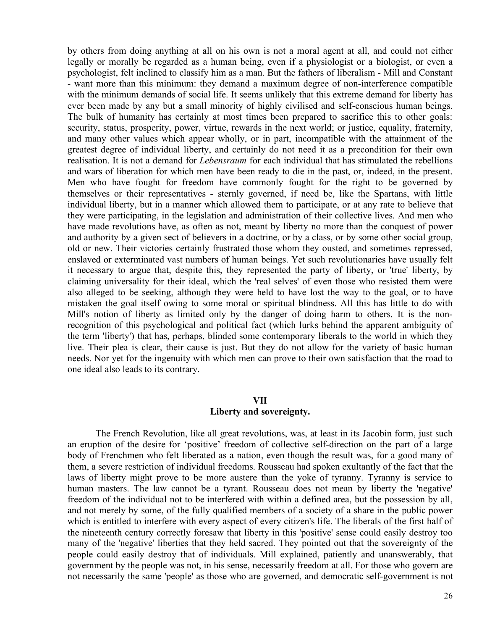by others from doing anything at all on his own is not a moral agent at all, and could not either legally or morally be regarded as a human being, even if a physiologist or a biologist, or even a psychologist, felt inclined to classify him as a man. But the fathers of liberalism - Mill and Constant - want more than this minimum: they demand a maximum degree of non-interference compatible with the minimum demands of social life. It seems unlikely that this extreme demand for liberty has ever been made by any but a small minority of highly civilised and self-conscious human beings. The bulk of humanity has certainly at most times been prepared to sacrifice this to other goals: security, status, prosperity, power, virtue, rewards in the next world; or justice, equality, fraternity, and many other values which appear wholly, or in part, incompatible with the attainment of the greatest degree of individual liberty, and certainly do not need it as a precondition for their own realisation. It is not a demand for *Lebensraum* for each individual that has stimulated the rebellions and wars of liberation for which men have been ready to die in the past, or, indeed, in the present. Men who have fought for freedom have commonly fought for the right to be governed by themselves or their representatives - sternly governed, if need be, like the Spartans, with little individual liberty, but in a manner which allowed them to participate, or at any rate to believe that they were participating, in the legislation and administration of their collective lives. And men who have made revolutions have, as often as not, meant by liberty no more than the conquest of power and authority by a given sect of believers in a doctrine, or by a class, or by some other social group, old or new. Their victories certainly frustrated those whom they ousted, and sometimes repressed, enslaved or exterminated vast numbers of human beings. Yet such revolutionaries have usually felt it necessary to argue that, despite this, they represented the party of liberty, or 'true' liberty, by claiming universality for their ideal, which the 'real selves' of even those who resisted them were also alleged to be seeking, although they were held to have lost the way to the goal, or to have mistaken the goal itself owing to some moral or spiritual blindness. All this has little to do with Mill's notion of liberty as limited only by the danger of doing harm to others. It is the nonrecognition of this psychological and political fact (which lurks behind the apparent ambiguity of the term 'liberty') that has, perhaps, blinded some contemporary liberals to the world in which they live. Their plea is clear, their cause is just. But they do not allow for the variety of basic human needs. Nor yet for the ingenuity with which men can prove to their own satisfaction that the road to one ideal also leads to its contrary.

### **VII**

# **Liberty and sovereignty.**

The French Revolution, like all great revolutions, was, at least in its Jacobin form, just such an eruption of the desire for 'positive' freedom of collective self-direction on the part of a large body of Frenchmen who felt liberated as a nation, even though the result was, for a good many of them, a severe restriction of individual freedoms. Rousseau had spoken exultantly of the fact that the laws of liberty might prove to be more austere than the yoke of tyranny. Tyranny is service to human masters. The law cannot be a tyrant. Rousseau does not mean by liberty the 'negative' freedom of the individual not to be interfered with within a defined area, but the possession by all, and not merely by some, of the fully qualified members of a society of a share in the public power which is entitled to interfere with every aspect of every citizen's life. The liberals of the first half of the nineteenth century correctly foresaw that liberty in this 'positive' sense could easily destroy too many of the 'negative' liberties that they held sacred. They pointed out that the sovereignty of the people could easily destroy that of individuals. Mill explained, patiently and unanswerably, that government by the people was not, in his sense, necessarily freedom at all. For those who govern are not necessarily the same 'people' as those who are governed, and democratic self-government is not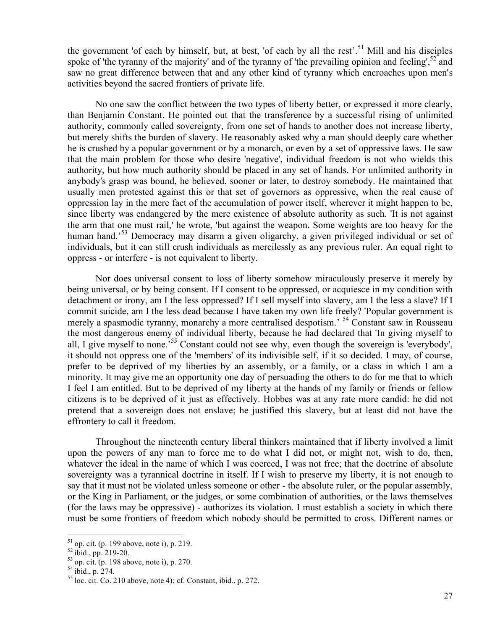the government 'of each by himself, but, at best, 'of each by all the rest'.<sup>51</sup> Mill and his disciples spoke of 'the tyranny of the majority' and of the tyranny of 'the prevailing opinion and feeling',  $52$  and saw no great difference between that and any other kind of tyranny which encroaches upon men's activities beyond the sacred frontiers of private life.

No one saw the conflict between the two types of liberty better, or expressed it more clearly, than Benjamin Constant. He pointed out that the transference by a successful rising of unlimited authority, commonly called sovereignty, from one set of hands to another does not increase liberty, but merely shifts the burden of slavery. He reasonably asked why a man should deeply care whether he is crushed by a popular government or by a monarch, or even by a set of oppressive laws. He saw that the main problem for those who desire 'negative', individual freedom is not who wields this authority, but how much authority should be placed in any set of hands. For unlimited authority in anybody's grasp was bound, he believed, sooner or later, to destroy somebody. He maintained that usually men protested against this or that set of governors as oppressive, when the real cause of oppression lay in the mere fact of the accumulation of power itself, wherever it might happen to be, since liberty was endangered by the mere existence of absolute authority as such. 'It is not against the arm that one must rail,' he wrote, 'but against the weapon. Some weights are too heavy for the human hand.<sup>53</sup> Democracy may disarm a given oligarchy, a given privileged individual or set of individuals, but it can still crush individuals as mercilessly as any previous ruler. An equal right to oppress - or interfere - is not equivalent to liberty.

Nor does universal consent to loss of liberty somehow miraculously preserve it merely by being universal, or by being consent. If I consent to be oppressed, or acquiesce in my condition with detachment or irony, am I the less oppressed? If I sell myself into slavery, am I the less a slave? If I commit suicide, am I the less dead because I have taken my own life freely? 'Popular government is merely a spasmodic tyranny, monarchy a more centralised despotism.' <sup>54</sup> Constant saw in Rousseau the most dangerous enemy of individual liberty, because he had declared that 'In giving myself to all, I give myself to none.<sup>55</sup> Constant could not see why, even though the sovereign is 'everybody', it should not oppress one of the 'members' of its indivisible self, if it so decided. I may, of course, prefer to be deprived of my liberties by an assembly, or a family, or a class in which I am a minority. It may give me an opportunity one day of persuading the others to do for me that to which I feel I am entitled. But to be deprived of my liberty at the hands of my family or friends or fellow citizens is to be deprived of it just as effectively. Hobbes was at any rate more candid: he did not pretend that a sovereign does not enslave; he justified this slavery, but at least did not have the effrontery to call it freedom.

Throughout the nineteenth century liberal thinkers maintained that if liberty involved a limit upon the powers of any man to force me to do what I did not, or might not, wish to do, then, whatever the ideal in the name of which I was coerced, I was not free; that the doctrine of absolute sovereignty was a tyrannical doctrine in itself. If I wish to preserve my liberty, it is not enough to say that it must not be violated unless someone or other - the absolute ruler, or the popular assembly, or the King in Parliament, or the judges, or some combination of authorities, or the laws themselves (for the laws may be oppressive) - authorizes its violation. I must establish a society in which there must be some frontiers of freedom which nobody should be permitted to cross. Different names or

<sup>&</sup>lt;sup>51</sup> op. cit. (p. 199 above, note i), p. 219.<br><sup>52</sup> ibid., pp. 219-20.<br><sup>53</sup> op. cit. (p. 198 above, note i), p. 270.<br><sup>54</sup> ibid., p. 274.<br><sup>55</sup> loc. cit. Co. 210 above, note 4); cf. Constant, ibid., p. 272.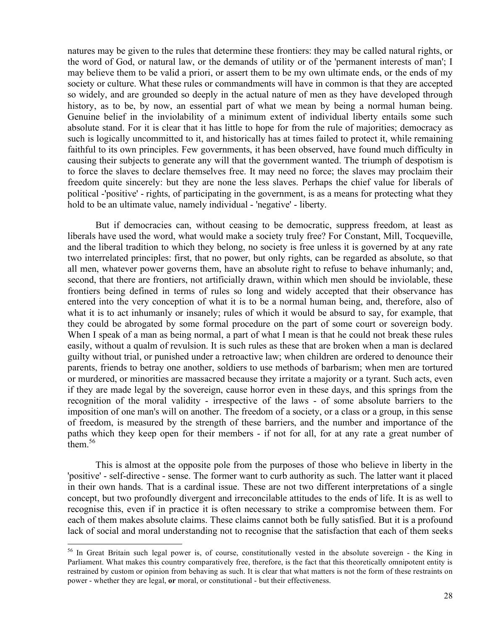natures may be given to the rules that determine these frontiers: they may be called natural rights, or the word of God, or natural law, or the demands of utility or of the 'permanent interests of man'; I may believe them to be valid a priori, or assert them to be my own ultimate ends, or the ends of my society or culture. What these rules or commandments will have in common is that they are accepted so widely, and are grounded so deeply in the actual nature of men as they have developed through history, as to be, by now, an essential part of what we mean by being a normal human being. Genuine belief in the inviolability of a minimum extent of individual liberty entails some such absolute stand. For it is clear that it has little to hope for from the rule of majorities; democracy as such is logically uncommitted to it, and historically has at times failed to protect it, while remaining faithful to its own principles. Few governments, it has been observed, have found much difficulty in causing their subjects to generate any will that the government wanted. The triumph of despotism is to force the slaves to declare themselves free. It may need no force; the slaves may proclaim their freedom quite sincerely: but they are none the less slaves. Perhaps the chief value for liberals of political -'positive' - rights, of participating in the government, is as a means for protecting what they hold to be an ultimate value, namely individual - 'negative' - liberty.

But if democracies can, without ceasing to be democratic, suppress freedom, at least as liberals have used the word, what would make a society truly free? For Constant, Mill, Tocqueville, and the liberal tradition to which they belong, no society is free unless it is governed by at any rate two interrelated principles: first, that no power, but only rights, can be regarded as absolute, so that all men, whatever power governs them, have an absolute right to refuse to behave inhumanly; and, second, that there are frontiers, not artificially drawn, within which men should be inviolable, these frontiers being defined in terms of rules so long and widely accepted that their observance has entered into the very conception of what it is to be a normal human being, and, therefore, also of what it is to act inhumanly or insanely; rules of which it would be absurd to say, for example, that they could be abrogated by some formal procedure on the part of some court or sovereign body. When I speak of a man as being normal, a part of what I mean is that he could not break these rules easily, without a qualm of revulsion. It is such rules as these that are broken when a man is declared guilty without trial, or punished under a retroactive law; when children are ordered to denounce their parents, friends to betray one another, soldiers to use methods of barbarism; when men are tortured or murdered, or minorities are massacred because they irritate a majority or a tyrant. Such acts, even if they are made legal by the sovereign, cause horror even in these days, and this springs from the recognition of the moral validity - irrespective of the laws - of some absolute barriers to the imposition of one man's will on another. The freedom of a society, or a class or a group, in this sense of freedom, is measured by the strength of these barriers, and the number and importance of the paths which they keep open for their members - if not for all, for at any rate a great number of them. 56

This is almost at the opposite pole from the purposes of those who believe in liberty in the 'positive' - self-directive - sense. The former want to curb authority as such. The latter want it placed in their own hands. That is a cardinal issue. These are not two different interpretations of a single concept, but two profoundly divergent and irreconcilable attitudes to the ends of life. It is as well to recognise this, even if in practice it is often necessary to strike a compromise between them. For each of them makes absolute claims. These claims cannot both be fully satisfied. But it is a profound lack of social and moral understanding not to recognise that the satisfaction that each of them seeks

<sup>&</sup>lt;sup>56</sup> In Great Britain such legal power is, of course, constitutionally vested in the absolute sovereign - the King in Parliament. What makes this country comparatively free, therefore, is the fact that this theoretically omnipotent entity is restrained by custom or opinion from behaving as such. It is clear that what matters is not the form of these restraints on power - whether they are legal, **or** moral, or constitutional - but their effectiveness.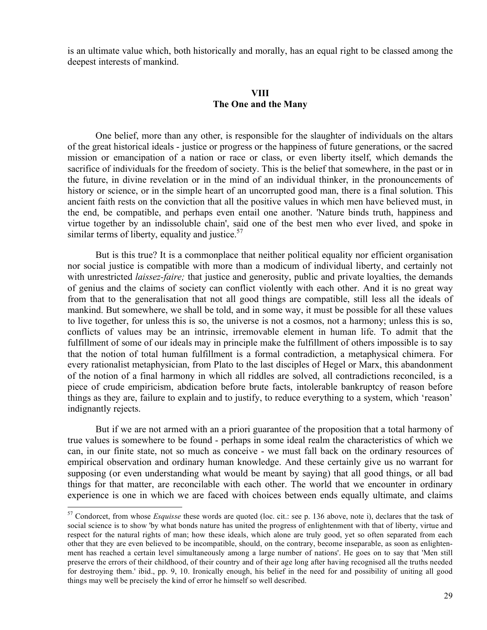is an ultimate value which, both historically and morally, has an equal right to be classed among the deepest interests of mankind.

# **VIII The One and the Many**

One belief, more than any other, is responsible for the slaughter of individuals on the altars of the great historical ideals - justice or progress or the happiness of future generations, or the sacred mission or emancipation of a nation or race or class, or even liberty itself, which demands the sacrifice of individuals for the freedom of society. This is the belief that somewhere, in the past or in the future, in divine revelation or in the mind of an individual thinker, in the pronouncements of history or science, or in the simple heart of an uncorrupted good man, there is a final solution. This ancient faith rests on the conviction that all the positive values in which men have believed must, in the end, be compatible, and perhaps even entail one another. 'Nature binds truth, happiness and virtue together by an indissoluble chain', said one of the best men who ever lived, and spoke in similar terms of liberty, equality and justice.<sup>57</sup>

But is this true? It is a commonplace that neither political equality nor efficient organisation nor social justice is compatible with more than a modicum of individual liberty, and certainly not with unrestricted *laissez-faire*; that justice and generosity, public and private loyalties, the demands of genius and the claims of society can conflict violently with each other. And it is no great way from that to the generalisation that not all good things are compatible, still less all the ideals of mankind. But somewhere, we shall be told, and in some way, it must be possible for all these values to live together, for unless this is so, the universe is not a cosmos, not a harmony; unless this is so, conflicts of values may be an intrinsic, irremovable element in human life. To admit that the fulfillment of some of our ideals may in principle make the fulfillment of others impossible is to say that the notion of total human fulfillment is a formal contradiction, a metaphysical chimera. For every rationalist metaphysician, from Plato to the last disciples of Hegel or Marx, this abandonment of the notion of a final harmony in which all riddles are solved, all contradictions reconciled, is a piece of crude empiricism, abdication before brute facts, intolerable bankruptcy of reason before things as they are, failure to explain and to justify, to reduce everything to a system, which 'reason' indignantly rejects.

But if we are not armed with an a priori guarantee of the proposition that a total harmony of true values is somewhere to be found - perhaps in some ideal realm the characteristics of which we can, in our finite state, not so much as conceive - we must fall back on the ordinary resources of empirical observation and ordinary human knowledge. And these certainly give us no warrant for supposing (or even understanding what would be meant by saying) that all good things, or all bad things for that matter, are reconcilable with each other. The world that we encounter in ordinary experience is one in which we are faced with choices between ends equally ultimate, and claims

 <sup>57</sup> Condorcet, from whose *Esquisse* these words are quoted (loc. cit.: see p. <sup>136</sup> above, note i), declares that the task of social science is to show 'by what bonds nature has united the progress of enlightenment with that of liberty, virtue and respect for the natural rights of man; how these ideals, which alone are truly good, yet so often separated from each other that they are even believed to be incompatible, should, on the contrary, become inseparable, as soon as enlightenment has reached a certain level simultaneously among a large number of nations'. He goes on to say that 'Men still preserve the errors of their childhood, of their country and of their age long after having recognised all the truths needed for destroying them.' ibid., pp. 9, 10. Ironically enough, his belief in the need for and possibility of uniting all good things may well be precisely the kind of error he himself so well described.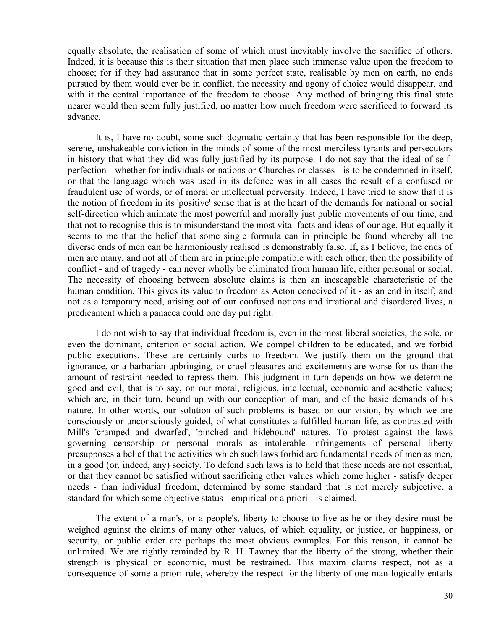equally absolute, the realisation of some of which must inevitably involve the sacrifice of others. Indeed, it is because this is their situation that men place such immense value upon the freedom to choose; for if they had assurance that in some perfect state, realisable by men on earth, no ends pursued by them would ever be in conflict, the necessity and agony of choice would disappear, and with it the central importance of the freedom to choose. Any method of bringing this final state nearer would then seem fully justified, no matter how much freedom were sacrificed to forward its advance.

It is, I have no doubt, some such dogmatic certainty that has been responsible for the deep, serene, unshakeable conviction in the minds of some of the most merciless tyrants and persecutors in history that what they did was fully justified by its purpose. I do not say that the ideal of selfperfection - whether for individuals or nations or Churches or classes - is to be condemned in itself, or that the language which was used in its defence was in all cases the result of a confused or fraudulent use of words, or of moral or intellectual perversity. Indeed, I have tried to show that it is the notion of freedom in its 'positive' sense that is at the heart of the demands for national or social self-direction which animate the most powerful and morally just public movements of our time, and that not to recognise this is to misunderstand the most vital facts and ideas of our age. But equally it seems to me that the belief that some single formula can in principle be found whereby all the diverse ends of men can be harmoniously realised is demonstrably false. If, as I believe, the ends of men are many, and not all of them are in principle compatible with each other, then the possibility of conflict - and of tragedy - can never wholly be eliminated from human life, either personal or social. The necessity of choosing between absolute claims is then an inescapable characteristic of the human condition. This gives its value to freedom as Acton conceived of it - as an end in itself, and not as a temporary need, arising out of our confused notions and irrational and disordered lives, a predicament which a panacea could one day put right.

I do not wish to say that individual freedom is, even in the most liberal societies, the sole, or even the dominant, criterion of social action. We compel children to be educated, and we forbid public executions. These are certainly curbs to freedom. We justify them on the ground that ignorance, or a barbarian upbringing, or cruel pleasures and excitements are worse for us than the amount of restraint needed to repress them. This judgment in turn depends on how we determine good and evil, that is to say, on our moral, religious, intellectual, economic and aesthetic values; which are, in their turn, bound up with our conception of man, and of the basic demands of his nature. In other words, our solution of such problems is based on our vision, by which we are consciously or unconsciously guided, of what constitutes a fulfilled human life, as contrasted with Mill's 'cramped and dwarfed', 'pinched and hidebound' natures. To protest against the laws governing censorship or personal morals as intolerable infringements of personal liberty presupposes a belief that the activities which such laws forbid are fundamental needs of men as men, in a good (or, indeed, any) society. To defend such laws is to hold that these needs are not essential, or that they cannot be satisfied without sacrificing other values which come higher - satisfy deeper needs - than individual freedom, determined by some standard that is not merely subjective, a standard for which some objective status - empirical or a priori - is claimed.

The extent of a man's, or a people's, liberty to choose to live as he or they desire must be weighed against the claims of many other values, of which equality, or justice, or happiness, or security, or public order are perhaps the most obvious examples. For this reason, it cannot be unlimited. We are rightly reminded by R. H. Tawney that the liberty of the strong, whether their strength is physical or economic, must be restrained. This maxim claims respect, not as a consequence of some a priori rule, whereby the respect for the liberty of one man logically entails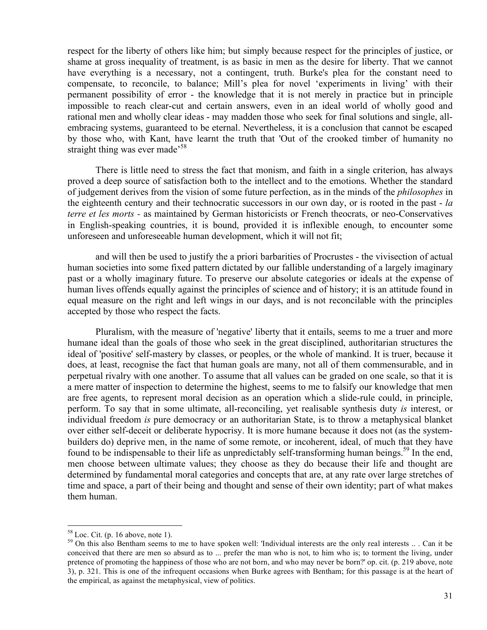respect for the liberty of others like him; but simply because respect for the principles of justice, or shame at gross inequality of treatment, is as basic in men as the desire for liberty. That we cannot have everything is a necessary, not a contingent, truth. Burke's plea for the constant need to compensate, to reconcile, to balance; Mill's plea for novel 'experiments in living' with their permanent possibility of error - the knowledge that it is not merely in practice but in principle impossible to reach clear-cut and certain answers, even in an ideal world of wholly good and rational men and wholly clear ideas - may madden those who seek for final solutions and single, allembracing systems, guaranteed to be eternal. Nevertheless, it is a conclusion that cannot be escaped by those who, with Kant, have learnt the truth that 'Out of the crooked timber of humanity no straight thing was ever made<sup>58</sup>

There is little need to stress the fact that monism, and faith in a single criterion, has always proved a deep source of satisfaction both to the intellect and to the emotions. Whether the standard of judgement derives from the vision of some future perfection, as in the minds of the *philosophes* in the eighteenth century and their technocratic successors in our own day, or is rooted in the past - *la terre et les morts -* as maintained by German historicists or French theocrats, or neo-Conservatives in English-speaking countries, it is bound, provided it is inflexible enough, to encounter some unforeseen and unforeseeable human development, which it will not fit;

and will then be used to justify the a priori barbarities of Procrustes - the vivisection of actual human societies into some fixed pattern dictated by our fallible understanding of a largely imaginary past or a wholly imaginary future. To preserve our absolute categories or ideals at the expense of human lives offends equally against the principles of science and of history; it is an attitude found in equal measure on the right and left wings in our days, and is not reconcilable with the principles accepted by those who respect the facts.

Pluralism, with the measure of 'negative' liberty that it entails, seems to me a truer and more humane ideal than the goals of those who seek in the great disciplined, authoritarian structures the ideal of 'positive' self-mastery by classes, or peoples, or the whole of mankind. It is truer, because it does, at least, recognise the fact that human goals are many, not all of them commensurable, and in perpetual rivalry with one another. To assume that all values can be graded on one scale, so that it is a mere matter of inspection to determine the highest, seems to me to falsify our knowledge that men are free agents, to represent moral decision as an operation which a slide-rule could, in principle, perform. To say that in some ultimate, all-reconciling, yet realisable synthesis duty *is* interest, or individual freedom *is* pure democracy or an authoritarian State, is to throw a metaphysical blanket over either self-deceit or deliberate hypocrisy. It is more humane because it does not (as the systembuilders do) deprive men, in the name of some remote, or incoherent, ideal, of much that they have found to be indispensable to their life as unpredictably self-transforming human beings.<sup>59</sup> In the end, men choose between ultimate values; they choose as they do because their life and thought are determined by fundamental moral categories and concepts that are, at any rate over large stretches of time and space, a part of their being and thought and sense of their own identity; part of what makes them human.

 $58$  Loc. Cit. (p. 16 above, note 1).<br> $59$  On this also Bentham seems to me to have spoken well: 'Individual interests are the only real interests ... Can it be conceived that there are men so absurd as to ... prefer the man who is not, to him who is; to torment the living, under pretence of promoting the happiness of those who are not born, and who may never be born?' op. cit. (p. 219 above, note 3), p. 321. This is one of the infrequent occasions when Burke agrees with Bentham; for this passage is at the heart of the empirical, as against the metaphysical, view of politics.